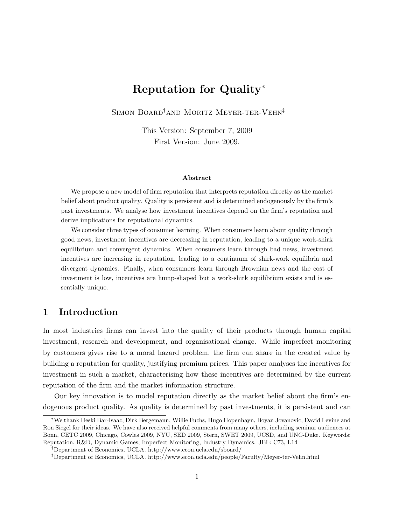# Reputation for Quality<sup>∗</sup>

SIMON BOARD<sup>†</sup>AND MORITZ MEYER-TER-VEHN<sup>‡</sup>

This Version: September 7, 2009 First Version: June 2009.

#### Abstract

We propose a new model of firm reputation that interprets reputation directly as the market belief about product quality. Quality is persistent and is determined endogenously by the firm's past investments. We analyse how investment incentives depend on the firm's reputation and derive implications for reputational dynamics.

We consider three types of consumer learning. When consumers learn about quality through good news, investment incentives are decreasing in reputation, leading to a unique work-shirk equilibrium and convergent dynamics. When consumers learn through bad news, investment incentives are increasing in reputation, leading to a continuum of shirk-work equilibria and divergent dynamics. Finally, when consumers learn through Brownian news and the cost of investment is low, incentives are hump-shaped but a work-shirk equilibrium exists and is essentially unique.

## 1 Introduction

In most industries firms can invest into the quality of their products through human capital investment, research and development, and organisational change. While imperfect monitoring by customers gives rise to a moral hazard problem, the firm can share in the created value by building a reputation for quality, justifying premium prices. This paper analyses the incentives for investment in such a market, characterising how these incentives are determined by the current reputation of the firm and the market information structure.

Our key innovation is to model reputation directly as the market belief about the firm's endogenous product quality. As quality is determined by past investments, it is persistent and can

<sup>∗</sup>We thank Heski Bar-Isaac, Dirk Bergemann, Willie Fuchs, Hugo Hopenhayn, Boyan Jovanovic, David Levine and Ron Siegel for their ideas. We have also received helpful comments from many others, including seminar audiences at Bonn, CETC 2009, Chicago, Cowles 2009, NYU, SED 2009, Stern, SWET 2009, UCSD, and UNC-Duke. Keywords: Reputation, R&D, Dynamic Games, Imperfect Monitoring, Industry Dynamics. JEL: C73, L14

<sup>†</sup>Department of Economics, UCLA. http://www.econ.ucla.edu/sboard/

<sup>‡</sup>Department of Economics, UCLA. http://www.econ.ucla.edu/people/Faculty/Meyer-ter-Vehn.html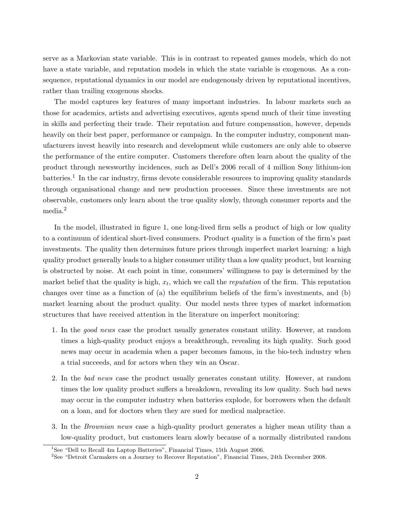serve as a Markovian state variable. This is in contrast to repeated games models, which do not have a state variable, and reputation models in which the state variable is exogenous. As a consequence, reputational dynamics in our model are endogenously driven by reputational incentives, rather than trailing exogenous shocks.

The model captures key features of many important industries. In labour markets such as those for academics, artists and advertising executives, agents spend much of their time investing in skills and perfecting their trade. Their reputation and future compensation, however, depends heavily on their best paper, performance or campaign. In the computer industry, component manufacturers invest heavily into research and development while customers are only able to observe the performance of the entire computer. Customers therefore often learn about the quality of the product through newsworthy incidences, such as Dell's 2006 recall of 4 million Sony lithium-ion batteries.<sup>1</sup> In the car industry, firms devote considerable resources to improving quality standards through organisational change and new production processes. Since these investments are not observable, customers only learn about the true quality slowly, through consumer reports and the media.<sup>2</sup>

In the model, illustrated in figure 1, one long-lived firm sells a product of high or low quality to a continuum of identical short-lived consumers. Product quality is a function of the firm's past investments. The quality then determines future prices through imperfect market learning: a high quality product generally leads to a higher consumer utility than a low quality product, but learning is obstructed by noise. At each point in time, consumers' willingness to pay is determined by the market belief that the quality is high,  $x_t$ , which we call the *reputation* of the firm. This reputation changes over time as a function of (a) the equilibrium beliefs of the firm's investments, and (b) market learning about the product quality. Our model nests three types of market information structures that have received attention in the literature on imperfect monitoring:

- 1. In the good news case the product usually generates constant utility. However, at random times a high-quality product enjoys a breakthrough, revealing its high quality. Such good news may occur in academia when a paper becomes famous, in the bio-tech industry when a trial succeeds, and for actors when they win an Oscar.
- 2. In the bad news case the product usually generates constant utility. However, at random times the low quality product suffers a breakdown, revealing its low quality. Such bad news may occur in the computer industry when batteries explode, for borrowers when the default on a loan, and for doctors when they are sued for medical malpractice.
- 3. In the Brownian news case a high-quality product generates a higher mean utility than a low-quality product, but customers learn slowly because of a normally distributed random

<sup>&</sup>lt;sup>1</sup>See "Dell to Recall 4m Laptop Batteries", Financial Times, 15th August 2006.

<sup>2</sup>See "Detroit Carmakers on a Journey to Recover Reputation", Financial Times, 24th December 2008.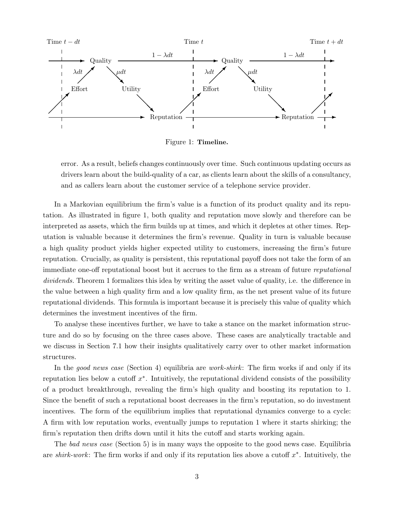

Figure 1: Timeline.

error. As a result, beliefs changes continuously over time. Such continuous updating occurs as drivers learn about the build-quality of a car, as clients learn about the skills of a consultancy, and as callers learn about the customer service of a telephone service provider.

In a Markovian equilibrium the firm's value is a function of its product quality and its reputation. As illustrated in figure 1, both quality and reputation move slowly and therefore can be interpreted as assets, which the firm builds up at times, and which it depletes at other times. Reputation is valuable because it determines the firm's revenue. Quality in turn is valuable because a high quality product yields higher expected utility to customers, increasing the firm's future reputation. Crucially, as quality is persistent, this reputational payoff does not take the form of an immediate one-off reputational boost but it accrues to the firm as a stream of future reputational dividends. Theorem 1 formalizes this idea by writing the asset value of quality, i.e. the difference in the value between a high quality firm and a low quality firm, as the net present value of its future reputational dividends. This formula is important because it is precisely this value of quality which determines the investment incentives of the firm.

To analyse these incentives further, we have to take a stance on the market information structure and do so by focusing on the three cases above. These cases are analytically tractable and we discuss in Section 7.1 how their insights qualitatively carry over to other market information structures.

In the good news case (Section 4) equilibria are work-shirk: The firm works if and only if its reputation lies below a cutoff  $x^*$ . Intuitively, the reputational dividend consists of the possibility of a product breakthrough, revealing the firm's high quality and boosting its reputation to 1. Since the benefit of such a reputational boost decreases in the firm's reputation, so do investment incentives. The form of the equilibrium implies that reputational dynamics converge to a cycle: A firm with low reputation works, eventually jumps to reputation 1 where it starts shirking; the firm's reputation then drifts down until it hits the cutoff and starts working again.

The bad news case (Section 5) is in many ways the opposite to the good news case. Equilibria are shirk-work: The firm works if and only if its reputation lies above a cutoff  $x^*$ . Intuitively, the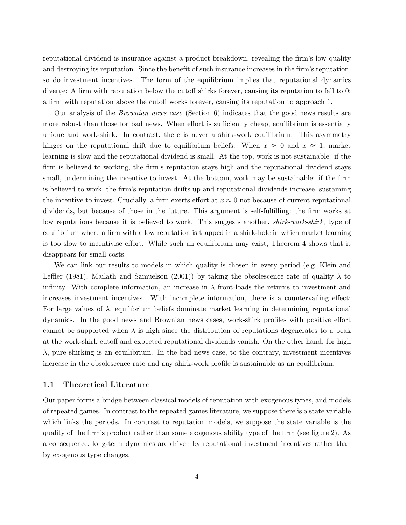reputational dividend is insurance against a product breakdown, revealing the firm's low quality and destroying its reputation. Since the benefit of such insurance increases in the firm's reputation, so do investment incentives. The form of the equilibrium implies that reputational dynamics diverge: A firm with reputation below the cutoff shirks forever, causing its reputation to fall to 0; a firm with reputation above the cutoff works forever, causing its reputation to approach 1.

Our analysis of the Brownian news case (Section 6) indicates that the good news results are more robust than those for bad news. When effort is sufficiently cheap, equilibrium is essentially unique and work-shirk. In contrast, there is never a shirk-work equilibrium. This asymmetry hinges on the reputational drift due to equilibrium beliefs. When  $x \approx 0$  and  $x \approx 1$ , market learning is slow and the reputational dividend is small. At the top, work is not sustainable: if the firm is believed to working, the firm's reputation stays high and the reputational dividend stays small, undermining the incentive to invest. At the bottom, work may be sustainable: if the firm is believed to work, the firm's reputation drifts up and reputational dividends increase, sustaining the incentive to invest. Crucially, a firm exerts effort at  $x \approx 0$  not because of current reputational dividends, but because of those in the future. This argument is self-fulfilling: the firm works at low reputations because it is believed to work. This suggests another, *shirk-work-shirk*, type of equilibrium where a firm with a low reputation is trapped in a shirk-hole in which market learning is too slow to incentivise effort. While such an equilibrium may exist, Theorem 4 shows that it disappears for small costs.

We can link our results to models in which quality is chosen in every period (e.g. Klein and Leffler (1981), Mailath and Samuelson (2001)) by taking the obsolescence rate of quality  $\lambda$  to infinity. With complete information, an increase in  $\lambda$  front-loads the returns to investment and increases investment incentives. With incomplete information, there is a countervailing effect: For large values of  $\lambda$ , equilibrium beliefs dominate market learning in determining reputational dynamics. In the good news and Brownian news cases, work-shirk profiles with positive effort cannot be supported when  $\lambda$  is high since the distribution of reputations degenerates to a peak at the work-shirk cutoff and expected reputational dividends vanish. On the other hand, for high  $\lambda$ , pure shirking is an equilibrium. In the bad news case, to the contrary, investment incentives increase in the obsolescence rate and any shirk-work profile is sustainable as an equilibrium.

#### 1.1 Theoretical Literature

Our paper forms a bridge between classical models of reputation with exogenous types, and models of repeated games. In contrast to the repeated games literature, we suppose there is a state variable which links the periods. In contrast to reputation models, we suppose the state variable is the quality of the firm's product rather than some exogenous ability type of the firm (see figure 2). As a consequence, long-term dynamics are driven by reputational investment incentives rather than by exogenous type changes.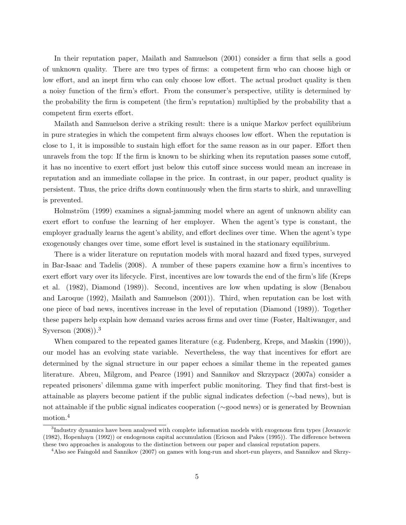In their reputation paper, Mailath and Samuelson (2001) consider a firm that sells a good of unknown quality. There are two types of firms: a competent firm who can choose high or low effort, and an inept firm who can only choose low effort. The actual product quality is then a noisy function of the firm's effort. From the consumer's perspective, utility is determined by the probability the firm is competent (the firm's reputation) multiplied by the probability that a competent firm exerts effort.

Mailath and Samuelson derive a striking result: there is a unique Markov perfect equilibrium in pure strategies in which the competent firm always chooses low effort. When the reputation is close to 1, it is impossible to sustain high effort for the same reason as in our paper. Effort then unravels from the top: If the firm is known to be shirking when its reputation passes some cutoff, it has no incentive to exert effort just below this cutoff since success would mean an increase in reputation and an immediate collapse in the price. In contrast, in our paper, product quality is persistent. Thus, the price drifts down continuously when the firm starts to shirk, and unravelling is prevented.

Holmström (1999) examines a signal-jamming model where an agent of unknown ability can exert effort to confuse the learning of her employer. When the agent's type is constant, the employer gradually learns the agent's ability, and effort declines over time. When the agent's type exogenously changes over time, some effort level is sustained in the stationary equilibrium.

There is a wider literature on reputation models with moral hazard and fixed types, surveyed in Bar-Isaac and Tadelis (2008). A number of these papers examine how a firm's incentives to exert effort vary over its lifecycle. First, incentives are low towards the end of the firm's life (Kreps et al. (1982), Diamond (1989)). Second, incentives are low when updating is slow (Benabou and Laroque (1992), Mailath and Samuelson (2001)). Third, when reputation can be lost with one piece of bad news, incentives increase in the level of reputation (Diamond (1989)). Together these papers help explain how demand varies across firms and over time (Foster, Haltiwanger, and Syverson  $(2008)$ .<sup>3</sup>

When compared to the repeated games literature (e.g. Fudenberg, Kreps, and Maskin (1990)), our model has an evolving state variable. Nevertheless, the way that incentives for effort are determined by the signal structure in our paper echoes a similar theme in the repeated games literature. Abreu, Milgrom, and Pearce (1991) and Sannikov and Skrzypacz (2007a) consider a repeated prisoners' dilemma game with imperfect public monitoring. They find that first-best is attainable as players become patient if the public signal indicates defection (∼bad news), but is not attainable if the public signal indicates cooperation (∼good news) or is generated by Brownian motion.<sup>4</sup>

<sup>&</sup>lt;sup>3</sup>Industry dynamics have been analysed with complete information models with exogenous firm types (Jovanovic (1982), Hopenhayn (1992)) or endogenous capital accumulation (Ericson and Pakes (1995)). The difference between these two approaches is analogous to the distinction between our paper and classical reputation papers.

<sup>&</sup>lt;sup>4</sup>Also see Faingold and Sannikov (2007) on games with long-run and short-run players, and Sannikov and Skrzy-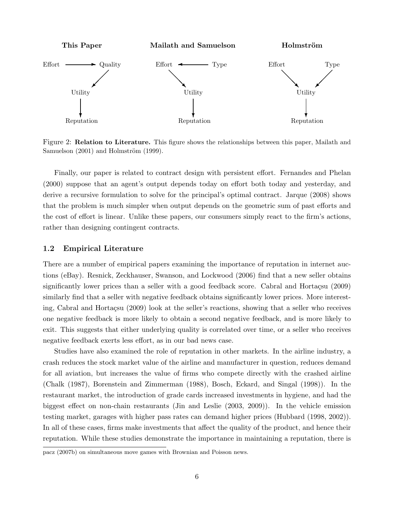

Figure 2: Relation to Literature. This figure shows the relationships between this paper, Mailath and Samuelson  $(2001)$  and Holmström  $(1999)$ .

Finally, our paper is related to contract design with persistent effort. Fernandes and Phelan (2000) suppose that an agent's output depends today on effort both today and yesterday, and derive a recursive formulation to solve for the principal's optimal contract. Jarque (2008) shows that the problem is much simpler when output depends on the geometric sum of past efforts and the cost of effort is linear. Unlike these papers, our consumers simply react to the firm's actions, rather than designing contingent contracts.

#### 1.2 Empirical Literature

There are a number of empirical papers examining the importance of reputation in internet auctions (eBay). Resnick, Zeckhauser, Swanson, and Lockwood (2006) find that a new seller obtains significantly lower prices than a seller with a good feedback score. Cabral and Hortaçsu (2009) similarly find that a seller with negative feedback obtains significantly lower prices. More interesting, Cabral and Hortaçsu (2009) look at the seller's reactions, showing that a seller who receives one negative feedback is more likely to obtain a second negative feedback, and is more likely to exit. This suggests that either underlying quality is correlated over time, or a seller who receives negative feedback exerts less effort, as in our bad news case.

Studies have also examined the role of reputation in other markets. In the airline industry, a crash reduces the stock market value of the airline and manufacturer in question, reduces demand for all aviation, but increases the value of firms who compete directly with the crashed airline (Chalk (1987), Borenstein and Zimmerman (1988), Bosch, Eckard, and Singal (1998)). In the restaurant market, the introduction of grade cards increased investments in hygiene, and had the biggest effect on non-chain restaurants (Jin and Leslie (2003, 2009)). In the vehicle emission testing market, garages with higher pass rates can demand higher prices (Hubbard (1998, 2002)). In all of these cases, firms make investments that affect the quality of the product, and hence their reputation. While these studies demonstrate the importance in maintaining a reputation, there is

pacz (2007b) on simultaneous move games with Brownian and Poisson news.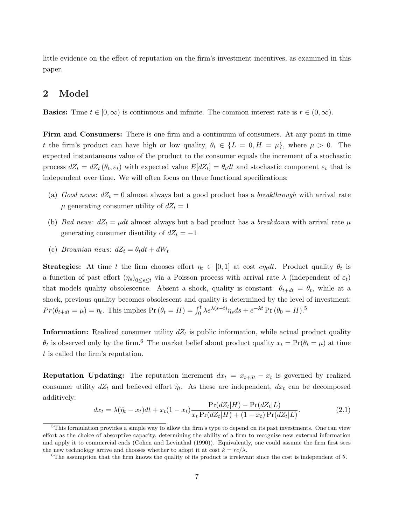little evidence on the effect of reputation on the firm's investment incentives, as examined in this paper.

## 2 Model

**Basics:** Time  $t \in [0, \infty)$  is continuous and infinite. The common interest rate is  $r \in (0, \infty)$ .

Firm and Consumers: There is one firm and a continuum of consumers. At any point in time t the firm's product can have high or low quality,  $\theta_t \in \{L = 0, H = \mu\}$ , where  $\mu > 0$ . The expected instantaneous value of the product to the consumer equals the increment of a stochastic process  $dZ_t = dZ_t(\theta_t, \varepsilon_t)$  with expected value  $E[dZ_t] = \theta_t dt$  and stochastic component  $\varepsilon_t$  that is independent over time. We will often focus on three functional specifications:

- (a) Good news:  $dZ_t = 0$  almost always but a good product has a breakthrough with arrival rate  $\mu$  generating consumer utility of  $dZ_t = 1$
- (b) Bad news:  $dZ_t = \mu dt$  almost always but a bad product has a breakdown with arrival rate  $\mu$ generating consumer disutility of  $dZ_t = -1$
- (c) Brownian news:  $dZ_t = \theta_t dt + dW_t$

**Strategies:** At time t the firm chooses effort  $\eta_t \in [0,1]$  at cost  $c\eta_t dt$ . Product quality  $\theta_t$  is a function of past effort  $(\eta_s)_{0\leq s\leq t}$  via a Poisson process with arrival rate  $\lambda$  (independent of  $\varepsilon_t$ ) that models quality obsolescence. Absent a shock, quality is constant:  $\theta_{t+dt} = \theta_t$ , while at a shock, previous quality becomes obsolescent and quality is determined by the level of investment:  $Pr(\theta_{t+dt} = \mu) = \eta_t$ . This implies  $Pr(\theta_t = H) = \int_0^t \lambda e^{\lambda(s-t)} \eta_s ds + e^{-\lambda t} Pr(\theta_0 = H)$ .<sup>5</sup>

**Information:** Realized consumer utility  $dZ_t$  is public information, while actual product quality  $\theta_t$  is observed only by the firm.<sup>6</sup> The market belief about product quality  $x_t = \Pr(\theta_t = \mu)$  at time t is called the firm's reputation.

**Reputation Updating:** The reputation increment  $dx_t = x_{t+dt} - x_t$  is governed by realized consumer utility  $dZ_t$  and believed effort  $\tilde{\eta}_t$ . As these are independent,  $dx_t$  can be decomposed additively:

$$
dx_t = \lambda(\widetilde{\eta}_t - x_t)dt + x_t(1 - x_t)\frac{\Pr(dZ_t|H) - \Pr(dZ_t|L)}{x_t \Pr(dZ_t|H) + (1 - x_t) \Pr(dZ_t|L)}.\tag{2.1}
$$

<sup>&</sup>lt;sup>5</sup>This formulation provides a simple way to allow the firm's type to depend on its past investments. One can view effort as the choice of absorptive capacity, determining the ability of a firm to recognise new external information and apply it to commercial ends (Cohen and Levinthal (1990)). Equivalently, one could assume the firm first sees the new technology arrive and chooses whether to adopt it at cost  $k = rc/\lambda$ .

<sup>&</sup>lt;sup>6</sup>The assumption that the firm knows the quality of its product is irrelevant since the cost is independent of  $\theta$ .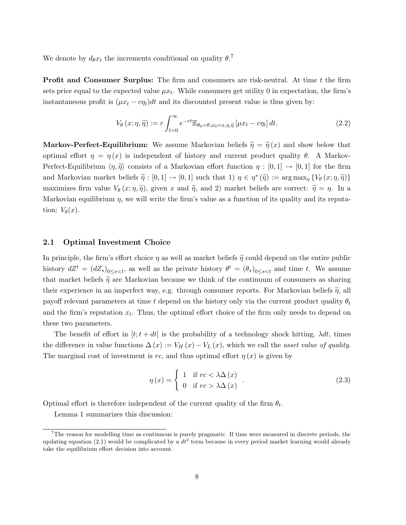We denote by  $d_{\theta}x_t$  the increments conditional on quality  $\theta$ .<sup>7</sup>

**Profit and Consumer Surplus:** The firm and consumers are risk-neutral. At time t the firm sets price equal to the expected value  $\mu x_t$ . While consumers get utility 0 in expectation, the firm's instantaneous profit is  $(\mu x_t - c\eta_t)dt$  and its discounted present value is thus given by:

$$
V_{\theta}(x;\eta,\tilde{\eta}) := r \int_{t=0}^{\infty} e^{-rt} \mathbb{E}_{\theta_0 = \theta, x_0 = x, \eta, \tilde{\eta}} \left[ \mu x_t - c \eta_t \right] dt.
$$
 (2.2)

**Markov-Perfect-Equilibrium:** We assume Markovian beliefs  $\tilde{\eta} = \tilde{\eta}(x)$  and show below that optimal effort  $\eta = \eta(x)$  is independent of history and current product quality  $\theta$ . A Markov-Perfect-Equilibrium  $\langle \eta, \tilde{\eta} \rangle$  consists of a Markovian effort function  $\eta : [0, 1] \to [0, 1]$  for the firm and Markovian market beliefs  $\tilde{\eta} : [0,1] \to [0,1]$  such that 1)  $\eta \in \eta^* (\tilde{\eta}) := \arg \max_{\eta} \{ V_{\theta}(x; \eta, \tilde{\eta}) \}$ maximizes firm value  $V_{\theta}(x;\eta,\tilde{\eta})$ , given x and  $\tilde{\eta}$ , and 2) market beliefs are correct:  $\tilde{\eta} = \eta$ . In a Markovian equilibrium  $\eta$ , we will write the firm's value as a function of its quality and its reputation:  $V_{\theta}(x)$ .

#### 2.1 Optimal Investment Choice

In principle, the firm's effort choice  $\eta$  as well as market beliefs  $\tilde{\eta}$  could depend on the entire public history  $dZ^t = (dZ_s)_{0 \leq s \leq t}$ , as well as the private history  $\theta^t = (\theta_s)_{0 \leq s \leq t}$  and time t. We assume that market beliefs  $\tilde{\eta}$  are Markovian because we think of the continuum of consumers as sharing their experience in an imperfect way, e.g. through consumer reports. For Markovian beliefs  $\tilde{\eta}$ , all payoff relevant parameters at time t depend on the history only via the current product quality  $\theta_t$ and the firm's reputation  $x_t$ . Thus, the optimal effort choice of the firm only needs to depend on these two parameters.

The benefit of effort in  $[t; t + dt]$  is the probability of a technology shock hitting,  $\lambda dt$ , times the difference in value functions  $\Delta(x) := V_H(x) - V_L(x)$ , which we call the asset value of quality. The marginal cost of investment is rc, and thus optimal effort  $\eta(x)$  is given by

$$
\eta(x) = \begin{cases} 1 & \text{if } rc < \lambda \Delta(x) \\ 0 & \text{if } rc > \lambda \Delta(x) \end{cases} .
$$
\n(2.3)

Optimal effort is therefore independent of the current quality of the firm  $\theta_t$ .

Lemma 1 summarizes this discussion:

 $7$ The reason for modelling time as continuous is purely pragmatic. If time were measured in discrete periods, the updating equation (2.1) would be complicated by a  $dt^2$  term because in every period market learning would already take the equilibrium effort decision into account.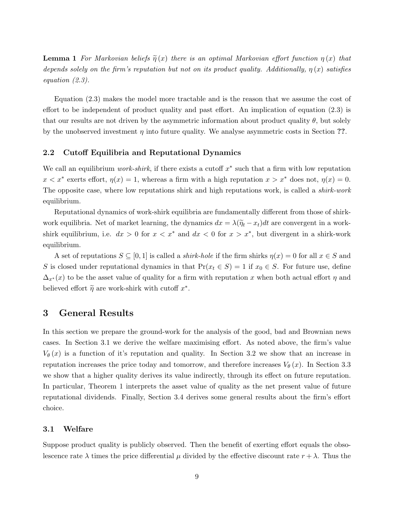**Lemma 1** For Markovian beliefs  $\tilde{\eta}(x)$  there is an optimal Markovian effort function  $\eta(x)$  that depends solely on the firm's reputation but not on its product quality. Additionally,  $\eta(x)$  satisfies equation (2.3).

Equation (2.3) makes the model more tractable and is the reason that we assume the cost of effort to be independent of product quality and past effort. An implication of equation (2.3) is that our results are not driven by the asymmetric information about product quality  $\theta$ , but solely by the unobserved investment  $\eta$  into future quality. We analyse asymmetric costs in Section ??.

#### 2.2 Cutoff Equilibria and Reputational Dynamics

We call an equilibrium *work-shirk*, if there exists a cutoff  $x^*$  such that a firm with low reputation  $x < x^*$  exerts effort,  $\eta(x) = 1$ , whereas a firm with a high reputation  $x > x^*$  does not,  $\eta(x) = 0$ . The opposite case, where low reputations shirk and high reputations work, is called a *shirk-work* equilibrium.

Reputational dynamics of work-shirk equilibria are fundamentally different from those of shirkwork equilibria. Net of market learning, the dynamics  $dx = \lambda(\tilde{\eta}_t - x_t)dt$  are convergent in a workshirk equilibrium, i.e.  $dx > 0$  for  $x < x^*$  and  $dx < 0$  for  $x > x^*$ , but divergent in a shirk-work equilibrium.

A set of reputations  $S \subseteq [0,1]$  is called a *shirk-hole* if the firm shirks  $\eta(x) = 0$  for all  $x \in S$  and S is closed under reputational dynamics in that  $Pr(x_t \in S) = 1$  if  $x_0 \in S$ . For future use, define  $\Delta_{x^*}(x)$  to be the asset value of quality for a firm with reputation x when both actual effort  $\eta$  and believed effort  $\tilde{\eta}$  are work-shirk with cutoff  $x^*$ .

## 3 General Results

In this section we prepare the ground-work for the analysis of the good, bad and Brownian news cases. In Section 3.1 we derive the welfare maximising effort. As noted above, the firm's value  $V_{\theta}(x)$  is a function of it's reputation and quality. In Section 3.2 we show that an increase in reputation increases the price today and tomorrow, and therefore increases  $V_{\theta}(x)$ . In Section 3.3 we show that a higher quality derives its value indirectly, through its effect on future reputation. In particular, Theorem 1 interprets the asset value of quality as the net present value of future reputational dividends. Finally, Section 3.4 derives some general results about the firm's effort choice.

#### 3.1 Welfare

Suppose product quality is publicly observed. Then the benefit of exerting effort equals the obsolescence rate  $\lambda$  times the price differential  $\mu$  divided by the effective discount rate  $r + \lambda$ . Thus the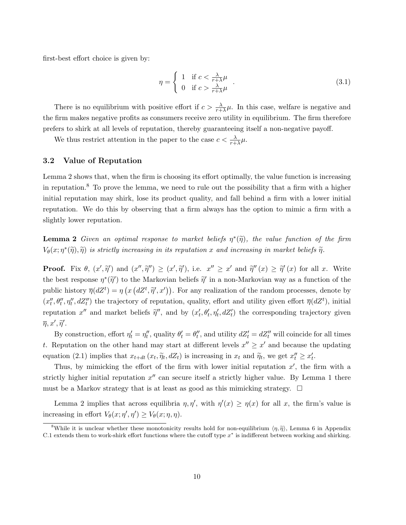first-best effort choice is given by:

$$
\eta = \begin{cases} 1 & \text{if } c < \frac{\lambda}{r + \lambda} \mu \\ 0 & \text{if } c > \frac{\lambda}{r + \lambda} \mu \end{cases} . \tag{3.1}
$$

There is no equilibrium with positive effort if  $c > \frac{\lambda}{r+\lambda}\mu$ . In this case, welfare is negative and the firm makes negative profits as consumers receive zero utility in equilibrium. The firm therefore prefers to shirk at all levels of reputation, thereby guaranteeing itself a non-negative payoff.

We thus restrict attention in the paper to the case  $c < \frac{\lambda}{r + \lambda} \mu$ .

#### 3.2 Value of Reputation

Lemma 2 shows that, when the firm is choosing its effort optimally, the value function is increasing in reputation.<sup>8</sup> To prove the lemma, we need to rule out the possibility that a firm with a higher initial reputation may shirk, lose its product quality, and fall behind a firm with a lower initial reputation. We do this by observing that a firm always has the option to mimic a firm with a slightly lower reputation.

**Lemma 2** Given an optimal response to market beliefs  $\eta^*(\tilde{\eta})$ , the value function of the firm  $V_{\theta}(x;\eta^*(\tilde{\eta}),\tilde{\eta})$  is strictly increasing in its reputation x and increasing in market beliefs  $\tilde{\eta}$ .

**Proof.** Fix  $\theta$ ,  $(x', \tilde{\eta}')$  and  $(x'', \tilde{\eta}'') \geq (x', \tilde{\eta}')$ , i.e.  $x'' \geq x'$  and  $\tilde{\eta}''(x) \geq \tilde{\eta}'(x)$  for all x. Write the best response  $\eta^*(\tilde{\eta}')$  to the Markovian beliefs  $\tilde{\eta}'$  in a non-Markovian way as a function of the public history  $\overline{\eta}(dZ^t) = \eta(x (dZ^t, \tilde{\eta}', x'))$ . For any realization of the random processes, denote by  $(x''_t, \theta''_t, \eta''_t, dZ''_t)$  the trajectory of reputation, quality, effort and utility given effort  $\overline{\eta}(dZ^t)$ , initial reputation x'' and market beliefs  $\tilde{\eta}''$ , and by  $(x'_t, \theta'_t, \eta'_t, dZ'_t)$  the corresponding trajectory given  $\overline{\eta}, x', \widetilde{\eta}'.$ 

By construction, effort  $\eta'_t = \eta''_t$ , quality  $\theta'_t = \theta''_t$ , and utility  $dZ'_t = dZ''_t$  will coincide for all times t. Reputation on the other hand may start at different levels  $x'' \geq x'$  and because the updating equation (2.1) implies that  $x_{t+dt}$   $(x_t, \tilde{\eta}_t, dZ_t)$  is increasing in  $x_t$  and  $\tilde{\eta}_t$ , we get  $x_t'' \ge x_t'$ .

Thus, by mimicking the effort of the firm with lower initial reputation  $x'$ , the firm with a strictly higher initial reputation  $x''$  can secure itself a strictly higher value. By Lemma 1 there must be a Markov strategy that is at least as good as this mimicking strategy.  $\Box$ 

Lemma 2 implies that across equilibria  $\eta, \eta'$ , with  $\eta'(x) \geq \eta(x)$  for all x, the firm's value is increasing in effort  $V_{\theta}(x; \eta', \eta') \geq V_{\theta}(x; \eta, \eta)$ .

<sup>&</sup>lt;sup>8</sup>While it is unclear whether these monotonicity results hold for non-equilibrium  $\langle \eta, \tilde{\eta} \rangle$ , Lemma 6 in Appendix C.1 extends them to work-shirk effort functions where the cutoff type  $x^*$  is indifferent between working and shirking.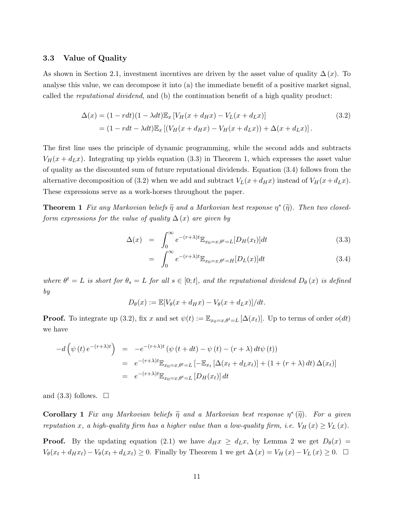#### 3.3 Value of Quality

As shown in Section 2.1, investment incentives are driven by the asset value of quality  $\Delta(x)$ . To analyse this value, we can decompose it into (a) the immediate benefit of a positive market signal, called the *reputational dividend*, and (b) the continuation benefit of a high quality product:

$$
\Delta(x) = (1 - rdt)(1 - \lambda dt)\mathbb{E}_x[V_H(x + d_Hx) - V_L(x + d_Lx)]
$$
\n
$$
= (1 - rdt - \lambda dt)\mathbb{E}_x[(V_H(x + d_Hx) - V_H(x + d_Lx)) + \Delta(x + d_Lx)].
$$
\n(3.2)

The first line uses the principle of dynamic programming, while the second adds and subtracts  $V_H(x + d_Lx)$ . Integrating up yields equation (3.3) in Theorem 1, which expresses the asset value of quality as the discounted sum of future reputational dividends. Equation (3.4) follows from the alternative decomposition of (3.2) when we add and subtract  $V_L(x+d_Hx)$  instead of  $V_H(x+d_Lx)$ . These expressions serve as a work-horses throughout the paper.

**Theorem 1** Fix any Markovian beliefs  $\tilde{\eta}$  and a Markovian best response  $\eta^*(\tilde{\eta})$ . Then two closedform expressions for the value of quality  $\Delta(x)$  are given by

$$
\Delta(x) = \int_0^\infty e^{-(r+\lambda)t} \mathbb{E}_{x_0=x,\theta^t=L}[D_H(x_t)]dt
$$
\n(3.3)

$$
= \int_0^\infty e^{-(r+\lambda)t} \mathbb{E}_{x_0=x,\theta^t=H}[D_L(x)]dt \tag{3.4}
$$

where  $\theta^t = L$  is short for  $\theta_s = L$  for all  $s \in [0;t]$ , and the reputational dividend  $D_{\theta}(x)$  is defined by

$$
D_{\theta}(x) := \mathbb{E}[V_{\theta}(x + d_H x) - V_{\theta}(x + d_L x)]/dt.
$$

**Proof.** To integrate up (3.2), fix x and set  $\psi(t) := \mathbb{E}_{x_0=x,\theta^t=L} [\Delta(x_t)]$ . Up to terms of order  $o(dt)$ we have

$$
-d\left(\psi\left(t\right)e^{-(r+\lambda)t}\right) = -e^{-(r+\lambda)t}\left(\psi\left(t+dt\right) - \psi\left(t\right) - \left(r+\lambda\right)dt\psi\left(t\right)\right)
$$
  
\n
$$
= e^{-(r+\lambda)t}\mathbb{E}_{x_0=x,\theta^t=L}\left[-\mathbb{E}_{x_t}\left[\Delta(x_t+d_Lx_t)\right] + \left(1+(r+\lambda)\right)dt\right]\Delta(x_t)\right]
$$
  
\n
$$
= e^{-(r+\lambda)t}\mathbb{E}_{x_0=x,\theta^t=L}\left[D_H(x_t)\right]dt
$$

and  $(3.3)$  follows.  $\Box$ 

**Corollary 1** Fix any Markovian beliefs  $\tilde{\eta}$  and a Markovian best response  $\eta^*(\tilde{\eta})$ . For a given reputation x, a high-quality firm has a higher value than a low-quality firm, i.e.  $V_H(x) \ge V_L(x)$ .

**Proof.** By the updating equation (2.1) we have  $d_Hx \geq d_Lx$ , by Lemma 2 we get  $D_\theta(x)$  $V_{\theta}(x_t + d_Hx_t) - V_{\theta}(x_t + d_Lx_t) \geq 0$ . Finally by Theorem 1 we get  $\Delta(x) = V_H(x) - V_L(x) \geq 0$ .  $\Box$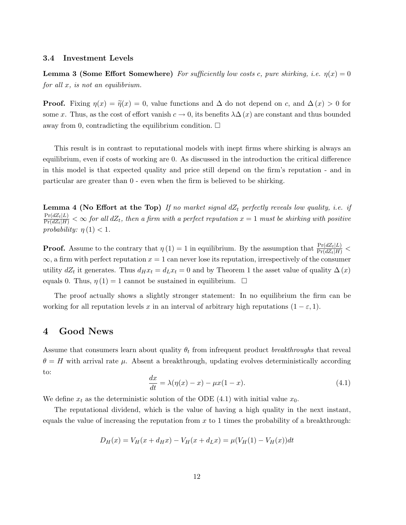#### 3.4 Investment Levels

**Lemma 3 (Some Effort Somewhere)** For sufficiently low costs c, pure shirking, i.e.  $\eta(x) = 0$ for all  $x$ , is not an equilibrium.

**Proof.** Fixing  $\eta(x) = \tilde{\eta}(x) = 0$ , value functions and  $\Delta$  do not depend on c, and  $\Delta(x) > 0$  for some x. Thus, as the cost of effort vanish  $c \to 0$ , its benefits  $\lambda \Delta(x)$  are constant and thus bounded away from 0, contradicting the equilibrium condition.  $\Box$ 

This result is in contrast to reputational models with inept firms where shirking is always an equilibrium, even if costs of working are 0. As discussed in the introduction the critical difference in this model is that expected quality and price still depend on the firm's reputation - and in particular are greater than 0 - even when the firm is believed to be shirking.

**Lemma 4 (No Effort at the Top)** If no market signal  $dZ_t$  perfectly reveals low quality, i.e. if  $\frac{\Pr(dZ_t|L)}{\Pr(dZ_t|H)} < \infty$  for all  $dZ_t$ , then a firm with a perfect reputation  $x = 1$  must be shirking with positive probability:  $\eta(1) < 1$ .

**Proof.** Assume to the contrary that  $\eta(1) = 1$  in equilibrium. By the assumption that  $\frac{\Pr(dZ_t|L)}{\Pr(dZ_t|H)}$  <  $\infty$ , a firm with perfect reputation  $x = 1$  can never lose its reputation, irrespectively of the consumer utility  $dZ_t$  it generates. Thus  $d_Hx_t = d_Lx_t = 0$  and by Theorem 1 the asset value of quality  $\Delta(x)$ equals 0. Thus,  $\eta(1) = 1$  cannot be sustained in equilibrium.  $\Box$ 

The proof actually shows a slightly stronger statement: In no equilibrium the firm can be working for all reputation levels x in an interval of arbitrary high reputations  $(1 - \varepsilon, 1)$ .

### 4 Good News

Assume that consumers learn about quality  $\theta_t$  from infrequent product breakthroughs that reveal  $\theta = H$  with arrival rate  $\mu$ . Absent a breakthrough, updating evolves deterministically according to:

$$
\frac{dx}{dt} = \lambda(\eta(x) - x) - \mu x(1 - x). \tag{4.1}
$$

We define  $x_t$  as the deterministic solution of the ODE (4.1) with initial value  $x_0$ .

The reputational dividend, which is the value of having a high quality in the next instant, equals the value of increasing the reputation from  $x$  to 1 times the probability of a breakthrough:

$$
D_H(x) = V_H(x + d_H x) - V_H(x + d_L x) = \mu(V_H(1) - V_H(x))dt
$$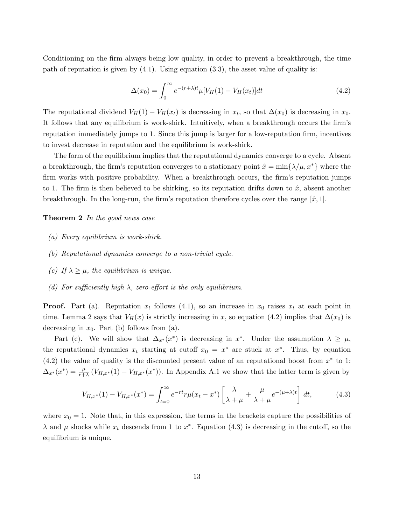Conditioning on the firm always being low quality, in order to prevent a breakthrough, the time path of reputation is given by (4.1). Using equation (3.3), the asset value of quality is:

$$
\Delta(x_0) = \int_0^\infty e^{-(r+\lambda)t} \mu[V_H(1) - V_H(x_t)]dt \tag{4.2}
$$

The reputational dividend  $V_H(1) - V_H(x_t)$  is decreasing in  $x_t$ , so that  $\Delta(x_0)$  is decreasing in  $x_0$ . It follows that any equilibrium is work-shirk. Intuitively, when a breakthrough occurs the firm's reputation immediately jumps to 1. Since this jump is larger for a low-reputation firm, incentives to invest decrease in reputation and the equilibrium is work-shirk.

The form of the equilibrium implies that the reputational dynamics converge to a cycle. Absent a breakthrough, the firm's reputation converges to a stationary point  $\hat{x} = \min\{\lambda/\mu, x^*\}$  where the firm works with positive probability. When a breakthrough occurs, the firm's reputation jumps to 1. The firm is then believed to be shirking, so its reputation drifts down to  $\hat{x}$ , absent another breakthrough. In the long-run, the firm's reputation therefore cycles over the range  $[\hat{x}, 1]$ .

**Theorem 2** In the good news case

- (a) Every equilibrium is work-shirk.
- (b) Reputational dynamics converge to a non-trivial cycle.
- (c) If  $\lambda \geq \mu$ , the equilibrium is unique.
- (d) For sufficiently high  $\lambda$ , zero-effort is the only equilibrium.

**Proof.** Part (a). Reputation  $x_t$  follows (4.1), so an increase in  $x_0$  raises  $x_t$  at each point in time. Lemma 2 says that  $V_H(x)$  is strictly increasing in x, so equation (4.2) implies that  $\Delta(x_0)$  is decreasing in  $x_0$ . Part (b) follows from (a).

Part (c). We will show that  $\Delta_{x^*}(x^*)$  is decreasing in  $x^*$ . Under the assumption  $\lambda \geq \mu$ , the reputational dynamics  $x_t$  starting at cutoff  $x_0 = x^*$  are stuck at  $x^*$ . Thus, by equation  $(4.2)$  the value of quality is the discounted present value of an reputational boost from  $x^*$  to 1:  $\Delta_{x^*}(x^*) = \frac{\mu}{r+\lambda} (V_{H,x^*}(1) - V_{H,x^*}(x^*))$ . In Appendix A.1 we show that the latter term is given by

$$
V_{H,x^*}(1) - V_{H,x^*}(x^*) = \int_{t=0}^{\infty} e^{-rt} r \mu(x_t - x^*) \left[ \frac{\lambda}{\lambda + \mu} + \frac{\mu}{\lambda + \mu} e^{-(\mu + \lambda)t} \right] dt,
$$
 (4.3)

where  $x_0 = 1$ . Note that, in this expression, the terms in the brackets capture the possibilities of  $\lambda$  and  $\mu$  shocks while  $x_t$  descends from 1 to  $x^*$ . Equation (4.3) is decreasing in the cutoff, so the equilibrium is unique.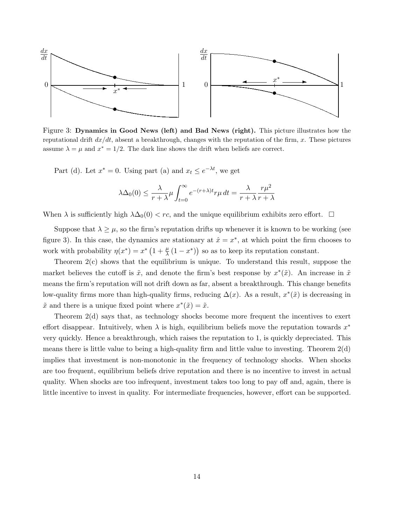

Figure 3: Dynamics in Good News (left) and Bad News (right). This picture illustrates how the reputational drift  $dx/dt$ , absent a breakthrough, changes with the reputation of the firm, x. These pictures assume  $\lambda = \mu$  and  $x^* = 1/2$ . The dark line shows the drift when beliefs are correct.

Part (d). Let  $x^* = 0$ . Using part (a) and  $x_t \leq e^{-\lambda t}$ , we get

$$
\lambda \Delta_0(0) \le \frac{\lambda}{r + \lambda} \mu \int_{t=0}^{\infty} e^{-(r + \lambda)t} r \mu \, dt = \frac{\lambda}{r + \lambda} \frac{r \mu^2}{r + \lambda}
$$

When  $\lambda$  is sufficiently high  $\lambda\Delta_0(0) < rc$ , and the unique equilibrium exhibits zero effort.  $\Box$ 

Suppose that  $\lambda \geq \mu$ , so the firm's reputation drifts up whenever it is known to be working (see figure 3). In this case, the dynamics are stationary at  $\hat{x} = x^*$ , at which point the firm chooses to work with probability  $\eta(x^*) = x^* \left(1 + \frac{\mu}{\lambda} (1 - x^*)\right)$  so as to keep its reputation constant.

Theorem 2(c) shows that the equilibrium is unique. To understand this result, suppose the market believes the cutoff is  $\tilde{x}$ , and denote the firm's best response by  $x^*(\tilde{x})$ . An increase in  $\tilde{x}$ means the firm's reputation will not drift down as far, absent a breakthrough. This change benefits low-quality firms more than high-quality firms, reducing  $\Delta(x)$ . As a result,  $x^*(\tilde{x})$  is decreasing in  $\tilde{x}$  and there is a unique fixed point where  $x^*(\tilde{x}) = \tilde{x}$ .

Theorem 2(d) says that, as technology shocks become more frequent the incentives to exert effort disappear. Intuitively, when  $\lambda$  is high, equilibrium beliefs move the reputation towards  $x^*$ very quickly. Hence a breakthrough, which raises the reputation to 1, is quickly depreciated. This means there is little value to being a high-quality firm and little value to investing. Theorem 2(d) implies that investment is non-monotonic in the frequency of technology shocks. When shocks are too frequent, equilibrium beliefs drive reputation and there is no incentive to invest in actual quality. When shocks are too infrequent, investment takes too long to pay off and, again, there is little incentive to invest in quality. For intermediate frequencies, however, effort can be supported.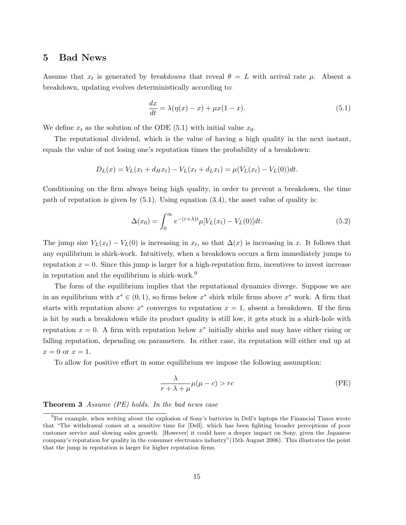### 5 Bad News

Assume that  $x_t$  is generated by *breakdowns* that reveal  $\theta = L$  with arrival rate  $\mu$ . Absent a breakdown, updating evolves deterministically according to:

$$
\frac{dx}{dt} = \lambda(\eta(x) - x) + \mu x(1 - x). \tag{5.1}
$$

We define  $x_t$  as the solution of the ODE (5.1) with initial value  $x_0$ .

The reputational dividend, which is the value of having a high quality in the next instant, equals the value of not losing one's reputation times the probability of a breakdown:

$$
D_L(x) = V_L(x_t + d_H x_t) - V_L(x_t + d_L x_t) = \mu(V_L(x_t) - V_L(0))dt.
$$

Conditioning on the firm always being high quality, in order to prevent a breakdown, the time path of reputation is given by (5.1). Using equation (3.4), the asset value of quality is:

$$
\Delta(x_0) = \int_0^\infty e^{-(r+\lambda)t} \mu[V_L(x_t) - V_L(0)]dt.
$$
\n(5.2)

The jump size  $V_L(x_t) - V_L(0)$  is increasing in  $x_t$ , so that  $\Delta(x)$  is increasing in x. It follows that any equilibrium is shirk-work. Intuitively, when a breakdown occurs a firm immediately jumps to reputation  $x = 0$ . Since this jump is larger for a high-reputation firm, incentives to invest increase in reputation and the equilibrium is shirk-work.<sup>9</sup>

The form of the equilibrium implies that the reputational dynamics diverge. Suppose we are in an equilibrium with  $x^* \in (0, 1)$ , so firms below  $x^*$  shirk while firms above  $x^*$  work. A firm that starts with reputation above  $x^*$  converges to reputation  $x = 1$ , absent a breakdown. If the firm is hit by such a breakdown while its product quality is still low, it gets stuck in a shirk-hole with reputation  $x = 0$ . A firm with reputation below  $x^*$  initially shirks and may have either rising or falling reputation, depending on parameters. In either case, its reputation will either end up at  $x=0$  or  $x=1$ .

To allow for positive effort in some equilibrium we impose the following assumption:

$$
\frac{\lambda}{r + \lambda + \mu} \mu(\mu - c) > rc
$$
 (PE)

**Theorem 3** Assume  $(PE)$  holds. In the bad news case

<sup>9</sup>For example, when writing about the explosion of Sony's batteries in Dell's laptops the Financial Times wrote that "The withdrawal comes at a sensitive time for [Dell], which has been fighting broader perceptions of poor customer service and slowing sales growth. [However] it could have a deeper impact on Sony, given the Japanese company's reputation for quality in the consumer electronics industry"(15th August 2006). This illustrates the point that the jump in reputation is larger for higher reputation firms.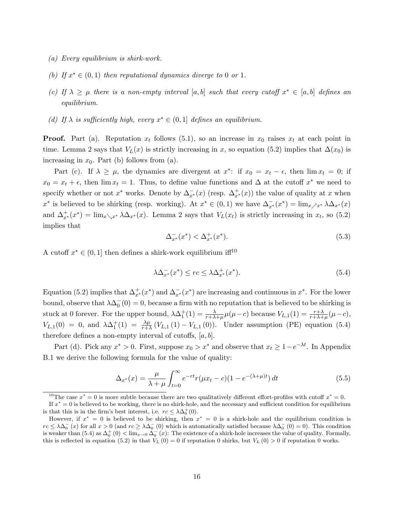- (a) Every equilibrium is shirk-work.
- (b) If  $x^* \in (0,1)$  then reputational dynamics diverge to 0 or 1.
- (c) If  $\lambda \geq \mu$  there is a non-empty interval [a, b] such that every cutoff  $x^* \in [a, b]$  defines an equilibrium.
- (d) If  $\lambda$  is sufficiently high, every  $x^* \in (0,1]$  defines an equilibrium.

**Proof.** Part (a). Reputation  $x_t$  follows (5.1), so an increase in  $x_0$  raises  $x_t$  at each point in time. Lemma 2 says that  $V_L(x)$  is strictly increasing in x, so equation (5.2) implies that  $\Delta(x_0)$  is increasing in  $x_0$ . Part (b) follows from (a).

Part (c). If  $\lambda \geq \mu$ , the dynamics are divergent at  $x^*$ : if  $x_0 = x_t - \epsilon$ , then  $\lim x_t = 0$ ; if  $x_0 = x_t + \epsilon$ , then  $\lim x_t = 1$ . Thus, to define value functions and  $\Delta$  at the cutoff  $x^*$  we need to specify whether or not  $x^*$  works. Denote by  $\Delta_{x^*}^-(x)$  (resp.  $\Delta_{x^*}^+(x)$ ) the value of quality at x when  $x^*$  is believed to be shirking (resp. working). At  $x^* \in (0,1)$  we have  $\Delta_{x^*}^-(x^*) = \lim_{x \nearrow x^*} \lambda \Delta_{x^*}(x)$ and  $\Delta_{x^*}^+(x^*) = \lim_{x \searrow x^*} \lambda \Delta_{x^*}(x)$ . Lemma 2 says that  $V_L(x_t)$  is strictly increasing in  $x_t$ , so (5.2) implies that

$$
\Delta_{x^*}^-(x^*) < \Delta_{x^*}^+(x^*). \tag{5.3}
$$

A cutoff  $x^* \in (0, 1]$  then defines a shirk-work equilibrium if  $f^{10}$ 

$$
\lambda \Delta_{x^*}^-(x^*) \le rc \le \lambda \Delta_{x^*}^+(x^*). \tag{5.4}
$$

Equation (5.2) implies that  $\Delta_{x^*}^+(x^*)$  and  $\Delta_{x^*}^-(x^*)$  are increasing and continuous in  $x^*$ . For the lower bound, observe that  $\lambda \Delta_0^{-}(0) = 0$ , because a firm with no reputation that is believed to be shirking is stuck at 0 forever. For the upper bound,  $\lambda \Delta_1^+(1) = \frac{\lambda}{r + \lambda + \mu} \mu(\mu - c)$  because  $V_{L,1}(1) = \frac{r + \lambda}{r + \lambda + \mu} (\mu - c)$ ,  $V_{L,1}(0) = 0$ , and  $\lambda \Delta_1^+(1) = \frac{\lambda \mu}{r+\lambda} (V_{L,1}(1) - V_{L,1}(0))$ . Under assumption (PE) equation (5.4) therefore defines a non-empty interval of cutoffs,  $[a, b]$ .

Part (d). Pick any  $x^* > 0$ . First, suppose  $x_0 > x^*$  and observe that  $x_t \geq 1 - e^{-\lambda t}$ . In Appendix B.1 we derive the following formula for the value of quality:

$$
\Delta_{x^*}(x) = \frac{\mu}{\lambda + \mu} \int_{t=0}^{\infty} e^{-rt} r(\mu x_t - c) (1 - e^{-(\lambda + \mu)t}) dt
$$
\n(5.5)

<sup>&</sup>lt;sup>10</sup>The case  $x^* = 0$  is more subtle because there are two qualitatively different effort-profiles with cutoff  $x^* = 0$ .

If  $x^* = 0$  is believed to be working, there is no shirk-hole, and the necessary and sufficient condition for equilibrium is that this is in the firm's best interest, i.e.  $rc \leq \lambda \Delta_0^+(0)$ .

However, if  $x^* = 0$  is believed to be shirking, then  $x^* = 0$  is a shirk-hole and the equilibrium condition is  $rc \leq \lambda \Delta_0^-(x)$  for all  $x > 0$  (and  $rc \geq \lambda \Delta_0^-(0)$  which is automatically satisfied because  $\lambda \Delta_0^-(0) = 0$ ). This condition is weaker than  $(5.4)$  as  $\Delta_0^+(0) < \lim_{x\to 0} \Delta_0^-(x)$ : The existence of a shirk-hole increases the value of quality. Formally, this is reflected in equation (5.2) in that  $V_L$  (0) = 0 if reputation 0 shirks, but  $V_L$  (0) > 0 if reputation 0 works.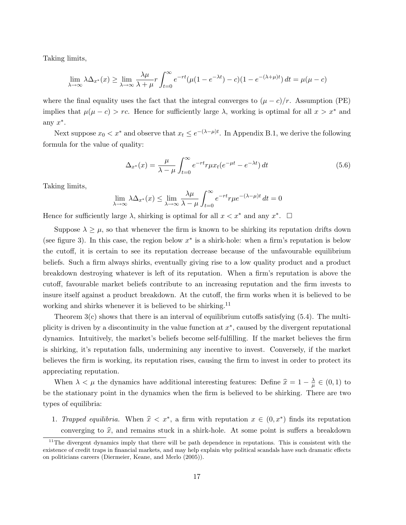Taking limits,

$$
\lim_{\lambda \to \infty} \lambda \Delta_{x^*}(x) \ge \lim_{\lambda \to \infty} \frac{\lambda \mu}{\lambda + \mu} r \int_{t=0}^{\infty} e^{-rt} (\mu (1 - e^{-\lambda t}) - c)(1 - e^{-(\lambda + \mu)t}) dt = \mu(\mu - c)
$$

where the final equality uses the fact that the integral converges to  $(\mu - c)/r$ . Assumption (PE) implies that  $\mu(\mu - c) > rc$ . Hence for sufficiently large  $\lambda$ , working is optimal for all  $x > x^*$  and any  $x^*$ .

Next suppose  $x_0 < x^*$  and observe that  $x_t \leq e^{-(\lambda - \mu)t}$ . In Appendix B.1, we derive the following formula for the value of quality:

$$
\Delta_{x^*}(x) = \frac{\mu}{\lambda - \mu} \int_{t=0}^{\infty} e^{-rt} r \mu x_t (e^{-\mu t} - e^{-\lambda t}) dt \qquad (5.6)
$$

Taking limits,

$$
\lim_{\lambda \to \infty} \lambda \Delta_{x^*}(x) \le \lim_{\lambda \to \infty} \frac{\lambda \mu}{\lambda - \mu} \int_{t=0}^{\infty} e^{-rt} r \mu e^{-(\lambda - \mu)t} dt = 0
$$

Hence for sufficiently large  $\lambda$ , shirking is optimal for all  $x < x^*$  and any  $x^*$ .  $\Box$ 

Suppose  $\lambda \geq \mu$ , so that whenever the firm is known to be shirking its reputation drifts down (see figure 3). In this case, the region below  $x^*$  is a shirk-hole: when a firm's reputation is below the cutoff, it is certain to see its reputation decrease because of the unfavourable equilibrium beliefs. Such a firm always shirks, eventually giving rise to a low quality product and a product breakdown destroying whatever is left of its reputation. When a firm's reputation is above the cutoff, favourable market beliefs contribute to an increasing reputation and the firm invests to insure itself against a product breakdown. At the cutoff, the firm works when it is believed to be working and shirks whenever it is believed to be shirking.<sup>11</sup>

Theorem  $3(c)$  shows that there is an interval of equilibrium cutoffs satisfying  $(5.4)$ . The multiplicity is driven by a discontinuity in the value function at  $x^*$ , caused by the divergent reputational dynamics. Intuitively, the market's beliefs become self-fulfilling. If the market believes the firm is shirking, it's reputation falls, undermining any incentive to invest. Conversely, if the market believes the firm is working, its reputation rises, causing the firm to invest in order to protect its appreciating reputation.

When  $\lambda < \mu$  the dynamics have additional interesting features: Define  $\hat{x} = 1 - \frac{\lambda}{\mu}$  $\frac{\lambda}{\mu}\in(0,1)$  to be the stationary point in the dynamics when the firm is believed to be shirking. There are two types of equilibria:

1. Trapped equilibria. When  $\hat{x} < x^*$ , a firm with reputation  $x \in (0, x^*)$  finds its reputation converging to  $\hat{x}$ , and remains stuck in a shirk-hole. At some point is suffers a breakdown

 $11$ The divergent dynamics imply that there will be path dependence in reputations. This is consistent with the existence of credit traps in financial markets, and may help explain why political scandals have such dramatic effects on politicians careers (Diermeier, Keane, and Merlo (2005)).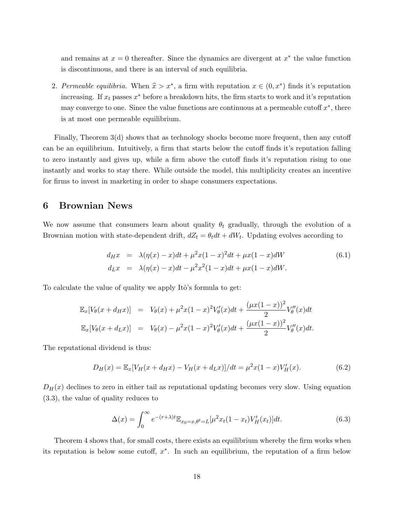and remains at  $x = 0$  thereafter. Since the dynamics are divergent at  $x^*$  the value function is discontinuous, and there is an interval of such equilibria.

2. Permeable equilibria. When  $\hat{x} > x^*$ , a firm with reputation  $x \in (0, x^*)$  finds it's reputation increasing. If  $x_t$  passes  $x^*$  before a breakdown hits, the firm starts to work and it's reputation may converge to one. Since the value functions are continuous at a permeable cutoff  $x^*$ , there is at most one permeable equilibrium.

Finally, Theorem 3(d) shows that as technology shocks become more frequent, then any cutoff can be an equilibrium. Intuitively, a firm that starts below the cutoff finds it's reputation falling to zero instantly and gives up, while a firm above the cutoff finds it's reputation rising to one instantly and works to stay there. While outside the model, this multiplicity creates an incentive for firms to invest in marketing in order to shape consumers expectations.

## 6 Brownian News

We now assume that consumers learn about quality  $\theta_t$  gradually, through the evolution of a Brownian motion with state-dependent drift,  $dZ_t = \theta_t dt + dW_t$ . Updating evolves according to

$$
d_H x = \lambda(\eta(x) - x)dt + \mu^2 x(1 - x)^2 dt + \mu x(1 - x)dW
$$
  
\n
$$
d_L x = \lambda(\eta(x) - x)dt - \mu^2 x^2(1 - x)dt + \mu x(1 - x)dW.
$$
\n(6.1)

To calculate the value of quality we apply Itô's formula to get:

$$
\mathbb{E}_x[V_\theta(x + d_H x)] = V_\theta(x) + \mu^2 x (1 - x)^2 V'_\theta(x) dt + \frac{(\mu x (1 - x))^2}{2} V''_\theta(x) dt
$$
  

$$
\mathbb{E}_x[V_\theta(x + d_L x)] = V_\theta(x) - \mu^2 x (1 - x)^2 V'_\theta(x) dt + \frac{(\mu x (1 - x))^2}{2} V''_\theta(x) dt.
$$

The reputational dividend is thus:

$$
D_H(x) = \mathbb{E}_x[V_H(x + d_H x) - V_H(x + d_L x)]/dt = \mu^2 x(1 - x)V'_H(x).
$$
 (6.2)

 $D_H(x)$  declines to zero in either tail as reputational updating becomes very slow. Using equation (3.3), the value of quality reduces to

$$
\Delta(x) = \int_0^\infty e^{-(r+\lambda)t} \mathbb{E}_{x_0 = x, \theta^t = L} [\mu^2 x_t (1 - x_t) V_H'(x_t)] dt.
$$
 (6.3)

Theorem 4 shows that, for small costs, there exists an equilibrium whereby the firm works when its reputation is below some cutoff,  $x^*$ . In such an equilibrium, the reputation of a firm below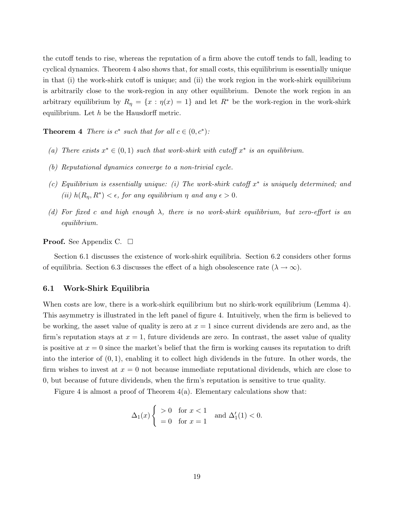the cutoff tends to rise, whereas the reputation of a firm above the cutoff tends to fall, leading to cyclical dynamics. Theorem 4 also shows that, for small costs, this equilibrium is essentially unique in that (i) the work-shirk cutoff is unique; and (ii) the work region in the work-shirk equilibrium is arbitrarily close to the work-region in any other equilibrium. Denote the work region in an arbitrary equilibrium by  $R_{\eta} = \{x : \eta(x) = 1\}$  and let  $R^*$  be the work-region in the work-shirk equilibrium. Let  $h$  be the Hausdorff metric.

**Theorem 4** There is  $c^*$  such that for all  $c \in (0, c^*)$ :

- (a) There exists  $x^* \in (0,1)$  such that work-shirk with cutoff  $x^*$  is an equilibrium.
- (b) Reputational dynamics converge to a non-trivial cycle.
- (c) Equilibrium is essentially unique: (i) The work-shirk cutoff  $x^*$  is uniquely determined; and (ii)  $h(R_{\eta}, R^*) < \epsilon$ , for any equilibrium  $\eta$  and any  $\epsilon > 0$ .
- (d) For fixed c and high enough  $\lambda$ , there is no work-shirk equilibrium, but zero-effort is an equilibrium.

**Proof.** See Appendix C.  $\Box$ 

Section 6.1 discusses the existence of work-shirk equilibria. Section 6.2 considers other forms of equilibria. Section 6.3 discusses the effect of a high obsolescence rate ( $\lambda \to \infty$ ).

#### 6.1 Work-Shirk Equilibria

When costs are low, there is a work-shirk equilibrium but no shirk-work equilibrium (Lemma 4). This asymmetry is illustrated in the left panel of figure 4. Intuitively, when the firm is believed to be working, the asset value of quality is zero at  $x = 1$  since current dividends are zero and, as the firm's reputation stays at  $x = 1$ , future dividends are zero. In contrast, the asset value of quality is positive at  $x = 0$  since the market's belief that the firm is working causes its reputation to drift into the interior of  $(0, 1)$ , enabling it to collect high dividends in the future. In other words, the firm wishes to invest at  $x = 0$  not because immediate reputational dividends, which are close to 0, but because of future dividends, when the firm's reputation is sensitive to true quality.

Figure 4 is almost a proof of Theorem  $4(a)$ . Elementary calculations show that:

$$
\Delta_1(x) \begin{cases} > 0 \quad \text{for } x < 1 \\ = 0 \quad \text{for } x = 1 \end{cases} \text{ and } \Delta'_1(1) < 0.
$$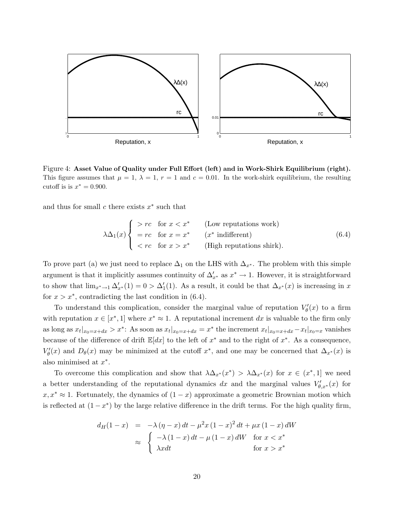

Figure 4: Asset Value of Quality under Full Effort (left) and in Work-Shirk Equilibrium (right). This figure assumes that  $\mu = 1$ ,  $\lambda = 1$ ,  $r = 1$  and  $c = 0.01$ . In the work-shirk equilibrium, the resulting cutoff is is  $x^* = 0.900$ .

and thus for small  $c$  there exists  $x^*$  such that

$$
\lambda \Delta_1(x) \begin{cases}\n> rc & \text{for } x < x^* \quad \text{(Low repetitions work)} \\
= rc & \text{for } x = x^* \quad (x^* \text{ indifferent}) \\
< rc & \text{for } x > x^* \quad \text{(High repetitions shrink)}.\n\end{cases} (6.4)
$$

To prove part (a) we just need to replace  $\Delta_1$  on the LHS with  $\Delta_{x^*}$ . The problem with this simple argument is that it implicitly assumes continuity of  $\Delta'_{x^*}$  as  $x^* \to 1$ . However, it is straightforward to show that  $\lim_{x^* \to 1} \Delta'_{x^*}(1) = 0 > \Delta'_{1}(1)$ . As a result, it could be that  $\Delta_{x^*}(x)$  is increasing in x for  $x > x^*$ , contradicting the last condition in (6.4).

To understand this complication, consider the marginal value of reputation  $V'_{\theta}(x)$  to a firm with reputation  $x \in [x^*, 1]$  where  $x^* \approx 1$ . A reputational increment dx is valuable to the firm only as long as  $x_t|_{x_0=x+dx} > x^*$ : As soon as  $x_t|_{x_0=x+dx} = x^*$  the increment  $x_t|_{x_0=x+dx} - x_t|_{x_0=x}$  vanishes because of the difference of drift  $\mathbb{E}[dx]$  to the left of  $x^*$  and to the right of  $x^*$ . As a consequence,  $V'_{\theta}(x)$  and  $D_{\theta}(x)$  may be minimized at the cutoff  $x^*$ , and one may be concerned that  $\Delta_{x^*}(x)$  is also minimised at  $x^*$ .

To overcome this complication and show that  $\lambda \Delta_{x^*}(x^*) > \lambda \Delta_{x^*}(x)$  for  $x \in (x^*, 1]$  we need a better understanding of the reputational dynamics dx and the marginal values  $V'_{\theta,x^*}(x)$  for  $x, x^* \approx 1$ . Fortunately, the dynamics of  $(1-x)$  approximate a geometric Brownian motion which is reflected at  $(1 - x^*)$  by the large relative difference in the drift terms. For the high quality firm,

$$
d_H(1-x) = -\lambda (\eta - x) dt - \mu^2 x (1 - x)^2 dt + \mu x (1 - x) dW
$$
  
\n
$$
\approx \begin{cases} -\lambda (1 - x) dt - \mu (1 - x) dW & \text{for } x < x^* \\ \lambda x dt & \text{for } x > x^* \end{cases}
$$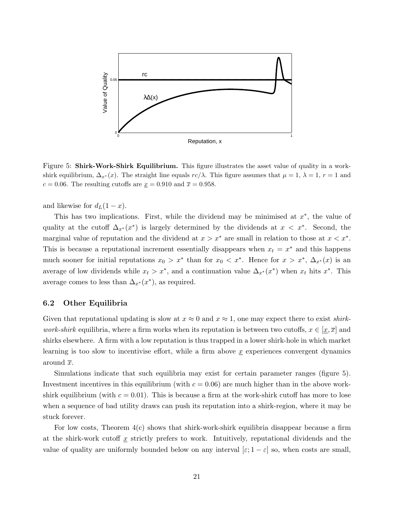

Figure 5: **Shirk-Work-Shirk Equilibrium.** This figure illustrates the asset value of quality in a workshirk equilibrium,  $\Delta_{x^*}(x)$ . The straight line equals  $rc/\lambda$ . This figure assumes that  $\mu = 1$ ,  $\lambda = 1$ ,  $r = 1$  and  $c = 0.06$ . The resulting cutoffs are  $\underline{x} = 0.910$  and  $\overline{x} = 0.958$ .

and likewise for  $d_L(1-x)$ .

This has two implications. First, while the dividend may be minimised at  $x^*$ , the value of quality at the cutoff  $\Delta_{x^*}(x^*)$  is largely determined by the dividends at  $x < x^*$ . Second, the marginal value of reputation and the dividend at  $x > x^*$  are small in relation to those at  $x < x^*$ . This is because a reputational increment essentially disappears when  $x_t = x^*$  and this happens much sooner for initial reputations  $x_0 > x^*$  than for  $x_0 < x^*$ . Hence for  $x > x^*$ ,  $\Delta_{x^*}(x)$  is an average of low dividends while  $x_t > x^*$ , and a continuation value  $\Delta_{x^*}(x^*)$  when  $x_t$  hits  $x^*$ . This average comes to less than  $\Delta_{x^*}(x^*)$ , as required.

#### 6.2 Other Equilibria

Given that reputational updating is slow at  $x \approx 0$  and  $x \approx 1$ , one may expect there to exist *shirkwork-shirk* equilibria, where a firm works when its reputation is between two cutoffs,  $x \in [x, \overline{x}]$  and shirks elsewhere. A firm with a low reputation is thus trapped in a lower shirk-hole in which market learning is too slow to incentivise effort, while a firm above  $\underline{x}$  experiences convergent dynamics around  $\bar{x}$ .

Simulations indicate that such equilibria may exist for certain parameter ranges (figure 5). Investment incentives in this equilibrium (with  $c = 0.06$ ) are much higher than in the above workshirk equilibrium (with  $c = 0.01$ ). This is because a firm at the work-shirk cutoff has more to lose when a sequence of bad utility draws can push its reputation into a shirk-region, where it may be stuck forever.

For low costs, Theorem  $4(c)$  shows that shirk-work-shirk equilibria disappear because a firm at the shirk-work cutoff  $x$  strictly prefers to work. Intuitively, reputational dividends and the value of quality are uniformly bounded below on any interval  $[\varepsilon; 1-\varepsilon]$  so, when costs are small,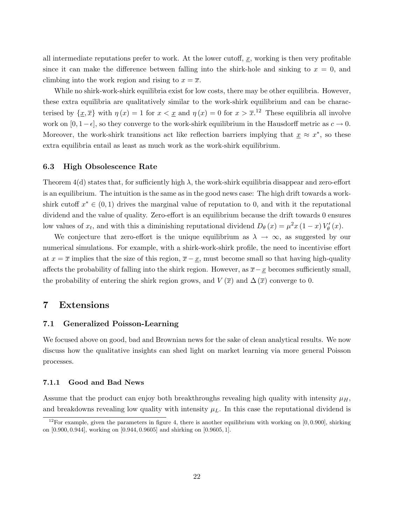all intermediate reputations prefer to work. At the lower cutoff,  $x$ , working is then very profitable since it can make the difference between falling into the shirk-hole and sinking to  $x = 0$ , and climbing into the work region and rising to  $x = \overline{x}$ .

While no shirk-work-shirk equilibria exist for low costs, there may be other equilibria. However, these extra equilibria are qualitatively similar to the work-shirk equilibrium and can be characterised by  $\{\underline{x}, \overline{x}\}\$  with  $\eta(x) = 1$  for  $x < \underline{x}$  and  $\eta(x) = 0$  for  $x > \overline{x}$ .<sup>12</sup> These equilibria all involve work on  $[0, 1-\epsilon]$ , so they converge to the work-shirk equilibrium in the Hausdorff metric as  $c \to 0$ . Moreover, the work-shirk transitions act like reflection barriers implying that  $\underline{x} \approx \overline{x}^*$ , so these extra equilibria entail as least as much work as the work-shirk equilibrium.

#### 6.3 High Obsolescence Rate

Theorem  $4(d)$  states that, for sufficiently high  $\lambda$ , the work-shirk equilibria disappear and zero-effort is an equilibrium. The intuition is the same as in the good news case: The high drift towards a workshirk cutoff  $x^* \in (0,1)$  drives the marginal value of reputation to 0, and with it the reputational dividend and the value of quality. Zero-effort is an equilibrium because the drift towards 0 ensures low values of  $x_t$ , and with this a diminishing reputational dividend  $D_\theta(x) = \mu^2 x (1-x) V'_\theta(x)$ .

We conjecture that zero-effort is the unique equilibrium as  $\lambda \to \infty$ , as suggested by our numerical simulations. For example, with a shirk-work-shirk profile, the need to incentivise effort at  $x = \overline{x}$  implies that the size of this region,  $\overline{x} - \underline{x}$ , must become small so that having high-quality affects the probability of falling into the shirk region. However, as  $\bar{x}-\underline{x}$  becomes sufficiently small, the probability of entering the shirk region grows, and  $V(\overline{x})$  and  $\Delta(\overline{x})$  converge to 0.

### 7 Extensions

#### 7.1 Generalized Poisson-Learning

We focused above on good, bad and Brownian news for the sake of clean analytical results. We now discuss how the qualitative insights can shed light on market learning via more general Poisson processes.

#### 7.1.1 Good and Bad News

Assume that the product can enjoy both breakthroughs revealing high quality with intensity  $\mu_H$ , and breakdowns revealing low quality with intensity  $\mu_L$ . In this case the reputational dividend is

<sup>&</sup>lt;sup>12</sup>For example, given the parameters in figure 4, there is another equilibrium with working on  $[0, 0.900]$ , shirking on [0.900, 0.944], working on [0.944, 0.9605] and shirking on [0.9605, 1].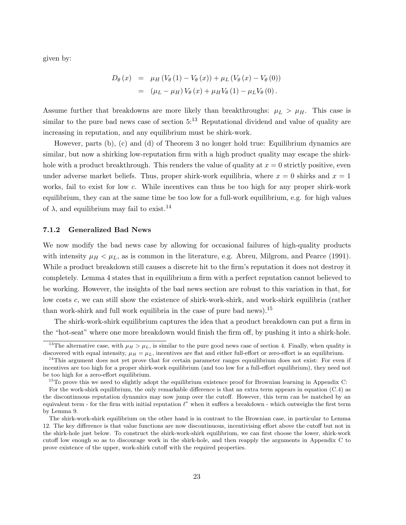given by:

$$
D_{\theta}(x) = \mu_{H} (V_{\theta}(1) - V_{\theta}(x)) + \mu_{L} (V_{\theta}(x) - V_{\theta}(0))
$$
  
=  $(\mu_{L} - \mu_{H}) V_{\theta}(x) + \mu_{H} V_{\theta}(1) - \mu_{L} V_{\theta}(0).$ 

Assume further that breakdowns are more likely than breakthroughs:  $\mu_L > \mu_H$ . This case is similar to the pure bad news case of section  $5^{13}$ . Reputational dividend and value of quality are increasing in reputation, and any equilibrium must be shirk-work.

However, parts (b), (c) and (d) of Theorem 3 no longer hold true: Equilibrium dynamics are similar, but now a shirking low-reputation firm with a high product quality may escape the shirkhole with a product breakthrough. This renders the value of quality at  $x = 0$  strictly positive, even under adverse market beliefs. Thus, proper shirk-work equilibria, where  $x = 0$  shirks and  $x = 1$ works, fail to exist for low c. While incentives can thus be too high for any proper shirk-work equilibrium, they can at the same time be too low for a full-work equilibrium, e.g. for high values of  $\lambda$ , and equilibrium may fail to exist.<sup>14</sup>

#### 7.1.2 Generalized Bad News

We now modify the bad news case by allowing for occasional failures of high-quality products with intensity  $\mu_H \leq \mu_L$ , as is common in the literature, e.g. Abreu, Milgrom, and Pearce (1991). While a product breakdown still causes a discrete hit to the firm's reputation it does not destroy it completely. Lemma 4 states that in equilibrium a firm with a perfect reputation cannot believed to be working. However, the insights of the bad news section are robust to this variation in that, for low costs c, we can still show the existence of shirk-work-shirk, and work-shirk equilibria (rather than work-shirk and full work equilibria in the case of pure bad news).<sup>15</sup>

The shirk-work-shirk equilibrium captures the idea that a product breakdown can put a firm in the "hot-seat" where one more breakdown would finish the firm off, by pushing it into a shirk-hole.

<sup>&</sup>lt;sup>13</sup>The alternative case, with  $\mu_H > \mu_L$ , is similar to the pure good news case of section 4. Finally, when quality is discovered with equal intensity,  $\mu = \mu_L$ , incentives are flat and either full-effort or zero-effort is an equilibrium.

<sup>&</sup>lt;sup>14</sup>This argument does not yet prove that for certain parameter ranges equuilibrium does not exist: For even if incentives are too high for a proper shirk-work equilibrium (and too low for a full-effort equilibrium), they need not be too high for a zero-effort equilibrium.

 $15$ To prove this we need to slightly adopt the equilibrium existence proof for Brownian learning in Appendix C: For the work-shirk equilibrium, the only remarkable difference is that an extra term appears in equation (C.4) as

the discontinuous reputation dynamics may now jump over the cutoff. However, this term can be matched by an equivalent term - for the firm with initial reputation  $\ell^*$  when it suffers a breakdown - which outweighs the first term by Lemma 9.

The shirk-work-shirk equilibrium on the other hand is in contrast to the Brownian case, in particular to Lemma 12. The key difference is that value functions are now discontinuous, incentivising effort above the cutoff but not in the shirk-hole just below. To construct the shirk-work-shirk equilibrium, we can first choose the lower, shirk-work cutoff low enough so as to discourage work in the shirk-hole, and then reapply the arguments in Appendix C to prove existence of the upper, work-shirk cutoff with the required properties.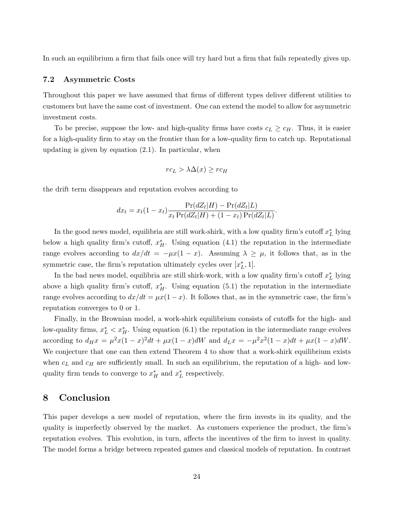In such an equilibrium a firm that fails once will try hard but a firm that fails repeatedly gives up.

#### 7.2 Asymmetric Costs

Throughout this paper we have assumed that firms of different types deliver different utilities to customers but have the same cost of investment. One can extend the model to allow for asymmetric investment costs.

To be precise, suppose the low- and high-quality firms have costs  $c_L \geq c_H$ . Thus, it is easier for a high-quality firm to stay on the frontier than for a low-quality firm to catch up. Reputational updating is given by equation (2.1). In particular, when

$$
rc_L > \lambda \Delta(x) \ge rc_H
$$

the drift term disappears and reputation evolves according to

$$
dx_t = x_t(1 - x_t) \frac{\Pr(dZ_t|H) - \Pr(dZ_t|L)}{x_t \Pr(dZ_t|H) + (1 - x_t) \Pr(dZ_t|L)}.
$$

In the good news model, equilibria are still work-shirk, with a low quality firm's cutoff  $x^*_L$  lying below a high quality firm's cutoff,  $x_H^*$ . Using equation (4.1) the reputation in the intermediate range evolves according to  $dx/dt = -\mu x(1-x)$ . Assuming  $\lambda \geq \mu$ , it follows that, as in the symmetric case, the firm's reputation ultimately cycles over  $[x_L^*, 1]$ .

In the bad news model, equilibria are still shirk-work, with a low quality firm's cutoff  $x_L^*$  lying above a high quality firm's cutoff,  $x_H^*$ . Using equation (5.1) the reputation in the intermediate range evolves according to  $dx/dt = \mu x(1-x)$ . It follows that, as in the symmetric case, the firm's reputation converges to 0 or 1.

Finally, in the Brownian model, a work-shirk equilibrium consists of cutoffs for the high- and low-quality firms,  $x_L^* < x_H^*$ . Using equation (6.1) the reputation in the intermediate range evolves according to  $d_H x = \mu^2 x (1-x)^2 dt + \mu x (1-x) dW$  and  $d_L x = -\mu^2 x^2 (1-x) dt + \mu x (1-x) dW$ . We conjecture that one can then extend Theorem 4 to show that a work-shirk equilibrium exists when  $c<sub>L</sub>$  and  $c<sub>H</sub>$  are sufficiently small. In such an equilibrium, the reputation of a high- and lowquality firm tends to converge to  $x_H^*$  and  $x_L^*$  respectively.

## 8 Conclusion

This paper develops a new model of reputation, where the firm invests in its quality, and the quality is imperfectly observed by the market. As customers experience the product, the firm's reputation evolves. This evolution, in turn, affects the incentives of the firm to invest in quality. The model forms a bridge between repeated games and classical models of reputation. In contrast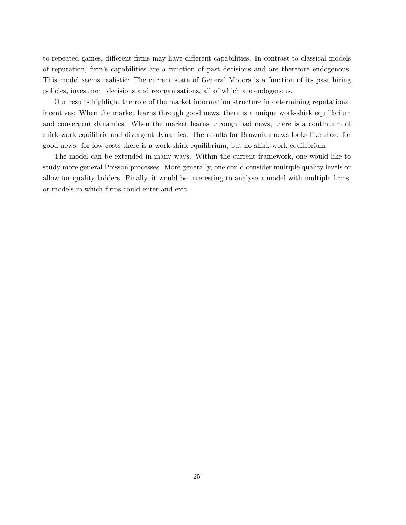to repeated games, different firms may have different capabilities. In contrast to classical models of reputation, firm's capabilities are a function of past decisions and are therefore endogenous. This model seems realistic: The current state of General Motors is a function of its past hiring policies, investment decisions and reorganisations, all of which are endogenous.

Our results highlight the role of the market information structure in determining reputational incentives: When the market learns through good news, there is a unique work-shirk equilibrium and convergent dynamics. When the market learns through bad news, there is a continuum of shirk-work equilibria and divergent dynamics. The results for Brownian news looks like those for good news: for low costs there is a work-shirk equilibrium, but no shirk-work equilibrium.

The model can be extended in many ways. Within the current framework, one would like to study more general Poisson processes. More generally, one could consider multiple quality levels or allow for quality ladders. Finally, it would be interesting to analyse a model with multiple firms, or models in which firms could enter and exit.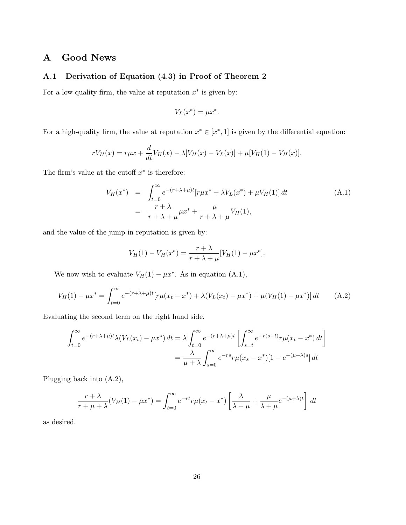## A Good News

## A.1 Derivation of Equation (4.3) in Proof of Theorem 2

For a low-quality firm, the value at reputation  $x^*$  is given by:

$$
V_L(x^*) = \mu x^*.
$$

For a high-quality firm, the value at reputation  $x^* \in [x^*, 1]$  is given by the differential equation:

$$
rV_H(x) = r\mu x + \frac{d}{dt}V_H(x) - \lambda[V_H(x) - V_L(x)] + \mu[V_H(1) - V_H(x)].
$$

The firm's value at the cutoff  $x^*$  is therefore:

$$
V_H(x^*) = \int_{t=0}^{\infty} e^{-(r+\lambda+\mu)t} [r\mu x^* + \lambda V_L(x^*) + \mu V_H(1)] dt
$$
  
= 
$$
\frac{r+\lambda}{r+\lambda+\mu} \mu x^* + \frac{\mu}{r+\lambda+\mu} V_H(1),
$$
 (A.1)

and the value of the jump in reputation is given by:

$$
V_H(1) - V_H(x^*) = \frac{r + \lambda}{r + \lambda + \mu} [V_H(1) - \mu x^*].
$$

We now wish to evaluate  $V_H(1) - \mu x^*$ . As in equation (A.1),

$$
V_H(1) - \mu x^* = \int_{t=0}^{\infty} e^{-(r+\lambda+\mu)t} [r\mu(x_t - x^*) + \lambda (V_L(x_t) - \mu x^*) + \mu (V_H(1) - \mu x^*)] dt \qquad (A.2)
$$

Evaluating the second term on the right hand side,

$$
\int_{t=0}^{\infty} e^{-(r+\lambda+\mu)t} \lambda(V_L(x_t) - \mu x^*) dt = \lambda \int_{t=0}^{\infty} e^{-(r+\lambda+\mu)t} \left[ \int_{s=t}^{\infty} e^{-r(s-t)} r \mu(x_t - x^*) dt \right]
$$

$$
= \frac{\lambda}{\mu + \lambda} \int_{s=0}^{\infty} e^{-rs} r \mu(x_s - x^*) [1 - e^{-(\mu + \lambda)s}] dt
$$

Plugging back into (A.2),

$$
\frac{r+\lambda}{r+\mu+\lambda}(V_H(1)-\mu x^*) = \int_{t=0}^{\infty} e^{-rt} r\mu(x_t-x^*) \left[\frac{\lambda}{\lambda+\mu} + \frac{\mu}{\lambda+\mu}e^{-(\mu+\lambda)t}\right] dt
$$

as desired.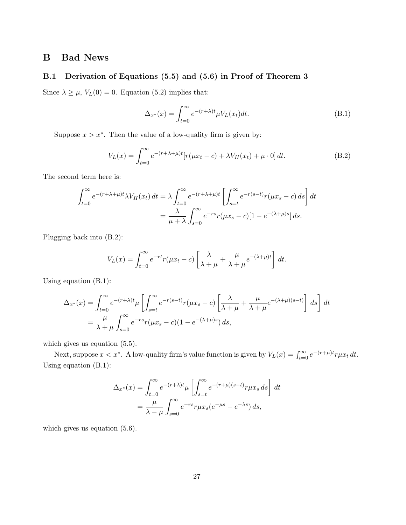## B Bad News

#### B.1 Derivation of Equations (5.5) and (5.6) in Proof of Theorem 3

Since  $\lambda \geq \mu$ ,  $V_L(0) = 0$ . Equation (5.2) implies that:

$$
\Delta_{x^*}(x) = \int_{t=0}^{\infty} e^{-(r+\lambda)t} \mu V_L(x_t) dt.
$$
\n(B.1)

Suppose  $x > x^*$ . Then the value of a low-quality firm is given by:

$$
V_L(x) = \int_{t=0}^{\infty} e^{-(r+\lambda+\mu)t} [r(\mu x_t - c) + \lambda V_H(x_t) + \mu \cdot 0] dt.
$$
 (B.2)

The second term here is:

$$
\int_{t=0}^{\infty} e^{-(r+\lambda+\mu)t} \lambda V_H(x_t) dt = \lambda \int_{t=0}^{\infty} e^{-(r+\lambda+\mu)t} \left[ \int_{s=t}^{\infty} e^{-r(s-t)} r(\mu x_s - c) ds \right] dt
$$
  

$$
= \frac{\lambda}{\mu + \lambda} \int_{s=0}^{\infty} e^{-rs} r(\mu x_s - c) [1 - e^{-(\lambda+\mu)s}] ds.
$$

Plugging back into (B.2):

$$
V_L(x) = \int_{t=0}^{\infty} e^{-rt} r(\mu x_t - c) \left[ \frac{\lambda}{\lambda + \mu} + \frac{\mu}{\lambda + \mu} e^{-(\lambda + \mu)t} \right] dt.
$$

Using equation (B.1):

$$
\Delta_{x^*}(x) = \int_{t=0}^{\infty} e^{-(r+\lambda)t} \mu \left[ \int_{s=t}^{\infty} e^{-r(s-t)} r(\mu x_s - c) \left[ \frac{\lambda}{\lambda + \mu} + \frac{\mu}{\lambda + \mu} e^{-(\lambda + \mu)(s-t)} \right] ds \right] dt
$$
  
=  $\frac{\mu}{\lambda + \mu} \int_{s=0}^{\infty} e^{-rs} r(\mu x_s - c) (1 - e^{-(\lambda + \mu)s}) ds,$ 

which gives us equation  $(5.5)$ .

Next, suppose  $x < x^*$ . A low-quality firm's value function is given by  $V_L(x) = \int_{t=0}^{\infty} e^{-(r+\mu)t} r \mu x_t dt$ . Using equation (B.1):

$$
\Delta_{x^*}(x) = \int_{t=0}^{\infty} e^{-(r+\lambda)t} \mu \left[ \int_{s=t}^{\infty} e^{-(r+\mu)(s-t)} r \mu x_s ds \right] dt
$$

$$
= \frac{\mu}{\lambda - \mu} \int_{s=0}^{\infty} e^{-rs} r \mu x_s (e^{-\mu s} - e^{-\lambda s}) ds,
$$

which gives us equation  $(5.6)$ .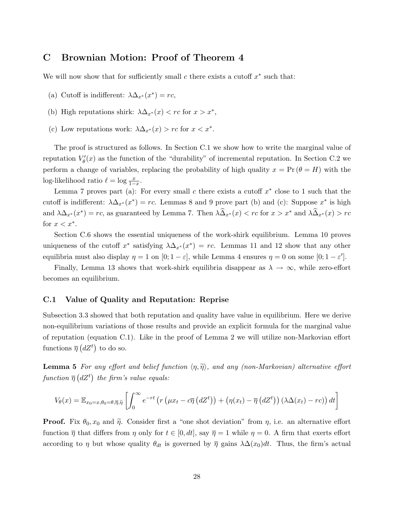## C Brownian Motion: Proof of Theorem 4

We will now show that for sufficiently small  $c$  there exists a cutoff  $x^*$  such that:

- (a) Cutoff is indifferent:  $\lambda \Delta_{x^*}(x^*) = rc$ ,
- (b) High reputations shirk:  $\lambda \Delta_{x^*}(x) < rc$  for  $x > x^*$ ,
- (c) Low reputations work:  $\lambda \Delta_{x^*}(x) > rc$  for  $x < x^*$ .

The proof is structured as follows. In Section C.1 we show how to write the marginal value of reputation  $V'_{\theta}(x)$  as the function of the "durability" of incremental reputation. In Section C.2 we perform a change of variables, replacing the probability of high quality  $x = Pr(\theta = H)$  with the log-likelihood ratio  $\ell = \log \frac{x}{1-x}$ .

Lemma 7 proves part (a): For every small c there exists a cutoff  $x^*$  close to 1 such that the cutoff is indifferent:  $\lambda \Delta_{x^*}(x^*) = rc$ . Lemmas 8 and 9 prove part (b) and (c): Suppose  $x^*$  is high and  $\lambda \Delta_{x^*}(x^*) = rc$ , as guaranteed by Lemma 7. Then  $\lambda \widehat{\Delta}_{x^*}(x) < rc$  for  $x > x^*$  and  $\lambda \widehat{\Delta}_{x^*}(x) > rc$ for  $x < x^*$ .

Section C.6 shows the essential uniqueness of the work-shirk equilibrium. Lemma 10 proves uniqueness of the cutoff  $x^*$  satisfying  $\lambda \Delta_{x^*}(x^*) = rc$ . Lemmas 11 and 12 show that any other equilibria must also display  $\eta = 1$  on  $[0; 1 - \varepsilon]$ , while Lemma 4 ensures  $\eta = 0$  on some  $[0; 1 - \varepsilon']$ .

Finally, Lemma 13 shows that work-shirk equilibria disappear as  $\lambda \to \infty$ , while zero-effort becomes an equilibrium.

#### C.1 Value of Quality and Reputation: Reprise

Subsection 3.3 showed that both reputation and quality have value in equilibrium. Here we derive non-equilibrium variations of those results and provide an explicit formula for the marginal value of reputation (equation C.1). Like in the proof of Lemma 2 we will utilize non-Markovian effort functions  $\overline{\eta}$   $(dZ^t)$  to do so.

**Lemma 5** For any effort and belief function  $\langle \eta, \tilde{\eta} \rangle$ , and any (non-Markovian) alternative effort function  $\overline{\eta}$  (dZ<sup>t</sup>) the firm's value equals:

$$
V_{\theta}(x) = \mathbb{E}_{x_0 = x, \theta_0 = \theta, \overline{\eta}, \widetilde{\eta}} \left[ \int_0^{\infty} e^{-rt} \left( r \left( \mu x_t - c \overline{\eta} \left( dZ^t \right) \right) + \left( \eta (x_t) - \overline{\eta} \left( dZ^t \right) \right) \left( \lambda \Delta (x_t) - r c \right) \right) dt \right]
$$

**Proof.** Fix  $\theta_0, x_0$  and  $\tilde{\eta}$ . Consider first a "one shot deviation" from  $\eta$ , i.e. an alternative effort function  $\overline{\eta}$  that differs from  $\eta$  only for  $t \in [0, dt]$ , say  $\overline{\eta} = 1$  while  $\eta = 0$ . A firm that exerts effort according to  $\eta$  but whose quality  $\theta_{dt}$  is governed by  $\overline{\eta}$  gains  $\lambda\Delta(x_0)dt$ . Thus, the firm's actual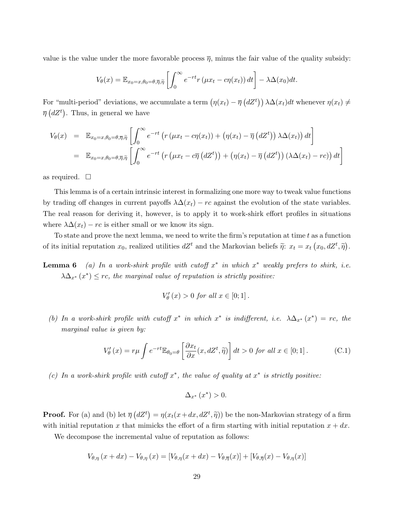value is the value under the more favorable process  $\overline{\eta}$ , minus the fair value of the quality subsidy:

$$
V_{\theta}(x) = \mathbb{E}_{x_0 = x, \theta_0 = \theta, \overline{\eta}, \widetilde{\eta}} \left[ \int_0^{\infty} e^{-rt} r(\mu x_t - c\eta(x_t)) dt \right] - \lambda \Delta(x_0) dt.
$$

For "multi-period" deviations, we accumulate a term  $(\eta(x_t) - \overline{\eta})$ or "multi-period" deviations, we accumulate a term  $(\eta(x_t) - \overline{\eta} (dZ^t)) \lambda \Delta(x_t) dt$  whenever  $\eta(x_t) \neq$  $\overline{\eta}$  (dZ<sup>t</sup>). Thus, in general we have

$$
V_{\theta}(x) = \mathbb{E}_{x_0 = x, \theta_0 = \theta, \overline{\eta}, \widetilde{\eta}} \left[ \int_0^{\infty} e^{-rt} \left( r \left( \mu x_t - c \eta(x_t) \right) + \left( \eta(x_t) - \overline{\eta} \left( dZ^t \right) \right) \lambda \Delta(x_t) \right) dt \right]
$$
  
=  $\mathbb{E}_{x_0 = x, \theta_0 = \theta, \overline{\eta}, \widetilde{\eta}} \left[ \int_0^{\infty} e^{-rt} \left( r \left( \mu x_t - c \overline{\eta} \left( dZ^t \right) \right) + \left( \eta(x_t) - \overline{\eta} \left( dZ^t \right) \right) \left( \lambda \Delta(x_t) - rc \right) \right) dt \right]$ 

as required.  $\square$ 

This lemma is of a certain intrinsic interest in formalizing one more way to tweak value functions by trading off changes in current payoffs  $\lambda \Delta(x_t) - rc$  against the evolution of the state variables. The real reason for deriving it, however, is to apply it to work-shirk effort profiles in situations where  $\lambda \Delta(x_t) - rc$  is either small or we know its sign.

To state and prove the next lemma, we need to write the firm's reputation at time t as a function of its initial reputation  $x_0$ , realized utilities  $dZ^t$  and the Markovian beliefs  $\tilde{\eta}$ :  $x_t = x_t (x_0, dZ^t, \tilde{\eta})$  $\tilde{\zeta}$ .

**Lemma 6** (a) In a work-shirk profile with cutoff  $x^*$  in which  $x^*$  weakly prefers to shirk, i.e.  $\lambda \Delta_{x^*}(x^*) \leq rc$ , the marginal value of reputation is strictly positive:

$$
V_{\theta}'(x) > 0 \text{ for all } x \in [0;1].
$$

(b) In a work-shirk profile with cutoff  $x^*$  in which  $x^*$  is indifferent, i.e.  $\lambda \Delta_{x^*}(x^*) = rc$ , the marginal value is given by:

$$
V'_{\theta}(x) = r\mu \int e^{-rt} \mathbb{E}_{\theta_0 = \theta} \left[ \frac{\partial x_t}{\partial x}(x, dZ^t, \tilde{\eta}) \right] dt > 0 \text{ for all } x \in [0; 1].
$$
 (C.1)

(c) In a work-shirk profile with cutoff  $x^*$ , the value of quality at  $x^*$  is strictly positive:

$$
\Delta_{x^*}\left(x^*\right) > 0.
$$

**Proof.** For (a) and (b) let  $\overline{\eta}$  $(dZ<sup>t</sup>) = \eta(x_t(x + dx, dZ<sup>t</sup>, \tilde{\eta}))$  be the non-Markovian strategy of a firm with initial reputation x that mimicks the effort of a firm starting with initial reputation  $x + dx$ .

We decompose the incremental value of reputation as follows:

$$
V_{\theta,\eta}(x+dx) - V_{\theta,\eta}(x) = [V_{\theta,\eta}(x+dx) - V_{\theta,\overline{\eta}}(x)] + [V_{\theta,\overline{\eta}}(x) - V_{\theta,\eta}(x)]
$$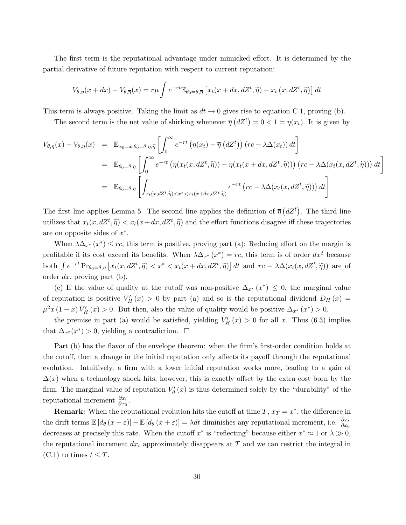The first term is the reputational advantage under mimicked effort. It is determined by the partial derivative of future reputation with respect to current reputation:

$$
V_{\theta,\eta}(x+dx) - V_{\theta,\overline{\eta}}(x) = r\mu \int e^{-rt} \mathbb{E}_{\theta_0 = \theta,\overline{\eta}} \left[ x_t(x+dx,dZ^t,\widetilde{\eta}) - x_t(x,dZ^t,\widetilde{\eta}) \right] dt
$$

This term is always positive. Taking the limit as  $dt \to 0$  gives rise to equation C.1, proving (b).

The second term is the net value of shirking whenever  $\overline{\eta}$  $(dZ^t)$  $= 0 < 1 = \eta(x_t)$ . It is given by

$$
V_{\theta,\overline{\eta}}(x) - V_{\theta,\eta}(x) = \mathbb{E}_{x_0 = x, \theta_0 = \theta, \overline{\eta}, \widetilde{\eta}} \left[ \int_0^\infty e^{-rt} \left( \eta(x_t) - \overline{\eta} \left( dZ^t \right) \right) (rc - \lambda \Delta(x_t)) dt \right]
$$
  
\n
$$
= \mathbb{E}_{\theta_0 = \theta, \overline{\eta}} \left[ \int_0^\infty e^{-rt} \left( \eta(x_t(x, dZ^t, \widetilde{\eta})) - \eta(x_t(x + dx, dZ^t, \widetilde{\eta})) \right) (rc - \lambda \Delta(x_t(x, dZ^t, \widetilde{\eta})) dt \right]
$$
  
\n
$$
= \mathbb{E}_{\theta_0 = \theta, \overline{\eta}} \left[ \int_{x_t(x, dZ^t, \widetilde{\eta}) < x^* < x_t(x + dx, dZ^t, \widetilde{\eta})} e^{-rt} \left( rc - \lambda \Delta(x_t(x, dZ^t, \widetilde{\eta})) \right) dt \right]
$$

The first line applies Lemma 5. The second line applies the definition of  $\bar{\eta}$  $(dZ^t)$ . The third line utilizes that  $x_t(x, dZ^t, \tilde{\eta}) < x_t(x + dx, dZ^t, \tilde{\eta})$  and the effort functions disagree iff these trajectories are on opposite sides of  $x^*$ .

When  $\lambda \Delta_{x^*}(x^*) \leq rc$ , this term is positive, proving part (a): Reducing effort on the margin is profitable if its cost exceed its benefits. When  $\lambda \Delta_{x^*}(x^*) = rc$ , this term is of order  $dx^2$  because both  $\int e^{-rt} \Pr_{\theta_0=\theta,\overline{\eta}} \left[ x_t(x,dZ^t, \widetilde{\eta}) \right] < x^* < x_t(x+dx,dZ^t, \widetilde{\eta}) \right] dt$  and  $rc - \lambda \Delta(x_t(x,dZ^t, \widetilde{\eta}))$  are of order  $dx$ , proving part (b).

(c) If the value of quality at the cutoff was non-positive  $\Delta_{x^*}(x^*) \leq 0$ , the marginal value of reputation is positive  $V'_H(x) > 0$  by part (a) and so is the reputational dividend  $D_H(x) =$  $\mu^2 x (1-x) V'_H(x) > 0$ . But then, also the value of quality would be positive  $\Delta_{x^*}(x^*) > 0$ .

the premise in part (a) would be satisfied, yielding  $V'_H(x) > 0$  for all x. Thus (6.3) implies that  $\Delta_{x^*}(x^*) > 0$ , yielding a contradiction.  $\Box$ 

Part (b) has the flavor of the envelope theorem: when the firm's first-order condition holds at the cutoff, then a change in the initial reputation only affects its payoff through the reputational evolution. Intuitively, a firm with a lower initial reputation works more, leading to a gain of  $\Delta(x)$  when a technology shock hits; however, this is exactly offset by the extra cost born by the firm. The marginal value of reputation  $V'_{\theta}(x)$  is thus determined solely by the "durability" of the reputational increment  $\frac{\partial x_t}{\partial x_0}$ .

**Remark:** When the reputational evolution hits the cutoff at time  $T, x_T = x^*$ , the difference in the drift terms  $\mathbb{E}\left[d_{\theta}\left(x-\varepsilon\right)\right]-\mathbb{E}\left[d_{\theta}\left(x+\varepsilon\right)\right]=\lambda dt$  diminishes any reputational increment, i.e.  $\frac{\partial x_{t}}{\partial x_{0}}$ decreases at precisely this rate. When the cutoff  $x^*$  is "reflecting" because either  $x^* \approx 1$  or  $\lambda \gg 0$ , the reputational increment  $dx_t$  approximately disappears at T and we can restrict the integral in  $(C.1)$  to times  $t \leq T$ .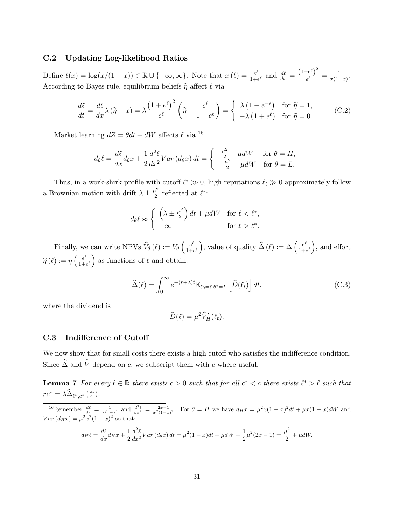### C.2 Updating Log-likelihood Ratios

Define  $\ell(x) = \log(x/(1-x)) \in \mathbb{R} \cup \{-\infty, \infty\}$ . Note that  $x(\ell) = \frac{e^{\ell}}{1+\ell}$  $\frac{e^{\ell}}{1+e^{\ell}}$  and  $\frac{d\ell}{dx} = \frac{(1+e^{\ell})^2}{e^{\ell}}$  $\frac{e^{e}}{e^{\ell}} = \frac{1}{x(1-\ell)}$  $\frac{1}{x(1-x)}$ . According to Bayes rule, equilibrium beliefs  $\tilde{\eta}$  affect  $\ell$  via

$$
\frac{d\ell}{dt} = \frac{d\ell}{dx}\lambda(\tilde{\eta} - x) = \lambda \frac{\left(1 + e^{\ell}\right)^{2}}{e^{\ell}} \left(\tilde{\eta} - \frac{e^{\ell}}{1 + e^{\ell}}\right) = \begin{cases} \lambda\left(1 + e^{-\ell}\right) & \text{for } \tilde{\eta} = 1, \\ -\lambda\left(1 + e^{\ell}\right) & \text{for } \tilde{\eta} = 0. \end{cases}
$$
(C.2)

Market learning  $dZ = \theta dt + dW$  affects  $\ell$  via <sup>16</sup>

$$
d_{\theta}\ell = \frac{d\ell}{dx}d_{\theta}x + \frac{1}{2}\frac{d^2\ell}{dx^2}Var\left(d_{\theta}x\right)dt = \begin{cases} \frac{\mu^2}{2} + \mu dW & \text{for } \theta = H, \\ -\frac{\mu^2}{2} + \mu dW & \text{for } \theta = L. \end{cases}
$$

Thus, in a work-shirk profile with cutoff  $\ell^* \gg 0$ , high reputations  $\ell_t \gg 0$  approximately follow a Brownian motion with drift  $\lambda \pm \frac{\mu^2}{2}$  $\frac{\iota^2}{2}$  reflected at  $\ell^*$ :

$$
d_{\theta}\ell \approx \begin{cases} \left(\lambda \pm \frac{\mu^2}{2}\right)dt + \mu dW & \text{for } \ell < \ell^*,\\ -\infty & \text{for } \ell > \ell^*. \end{cases}
$$

Finally, we can write NPVs  $\hat{V}_{\theta}(\ell) := V_{\theta}$  $\int e^{\ell}$  $\overline{1+e^\ell}$ ), value of quality  $\widehat{\Delta}(\ell) := \Delta \left( \frac{e^{\ell}}{1+\epsilon} \right)$  $\overline{1+e^\ell}$ ´ , and effort  $\widehat{\eta}(\ell) := \eta \left( \frac{e^{\ell}}{1+\epsilon} \right)$ ,, ...<br>´  $\frac{e^{\epsilon}}{1+e^{\ell}}$  as functions of  $\ell$  and obtain:

$$
\widehat{\Delta}(\ell) = \int_0^\infty e^{-(r+\lambda)t} \mathbb{E}_{\ell_0 = \ell, \theta^t = L} \left[ \widehat{D}(\ell_t) \right] dt,
$$
\n(C.3)

where the dividend is

$$
\widehat{D}(\ell) = \mu^2 \widehat{V}'_H(\ell_t).
$$

#### C.3 Indifference of Cutoff

We now show that for small costs there exists a high cutoff who satisfies the indifference condition. Since  $\widehat{\Delta}$  and  $\widehat{V}$  depend on c, we subscript them with c where useful.

**Lemma 7** For every  $\ell \in \mathbb{R}$  there exists  $c > 0$  such that for all  $c^* < c$  there exists  $\ell^* > \ell$  such that  $rc^* = \lambda \widehat{\Delta}_{\ell^*,c^*} (\ell^*).$ 

<sup>16</sup>Remember  $\frac{d\ell}{dx} = \frac{1}{x(1-x)}$  and  $\frac{d^2\ell}{dx^2} = \frac{2x-1}{x^2(1-x)^2}$ . For  $\theta = H$  we have  $d_Hx = \mu^2x(1-x)^2dt + \mu x(1-x)dW$  and  $Var(d_Hx) = \mu^2 x^2 (1-x)^2$  so that:

$$
d_H \ell = \frac{d\ell}{dx} d_H x + \frac{1}{2} \frac{d^2 \ell}{dx^2} Var \left( d_\theta x \right) dt = \mu^2 (1 - x) dt + \mu dW + \frac{1}{2} \mu^2 (2x - 1) = \frac{\mu^2}{2} + \mu dW.
$$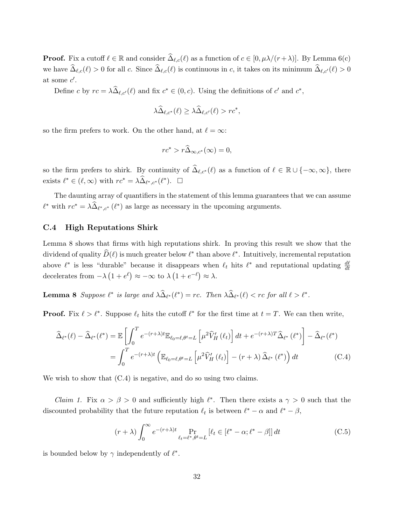**Proof.** Fix a cutoff  $\ell \in \mathbb{R}$  and consider  $\widehat{\Delta}_{\ell,c}(\ell)$  as a function of  $c \in [0, \mu\lambda/(r+\lambda)]$ . By Lemma 6(c) we have  $\widehat{\Delta}_{\ell,c}(\ell) > 0$  for all c. Since  $\widehat{\Delta}_{\ell,c}(\ell)$  is continuous in c, it takes on its minimum  $\widehat{\Delta}_{\ell,c'}(\ell) > 0$ at some  $c'$ .

Define c by  $rc = \lambda \widehat{\Delta}_{\ell, c'}(\ell)$  and fix  $c^* \in (0, c)$ . Using the definitions of c' and  $c^*$ ,

$$
\lambda \widehat{\Delta}_{\ell, c^*}(\ell) \geq \lambda \widehat{\Delta}_{\ell, c'}(\ell) > rc^*,
$$

so the firm prefers to work. On the other hand, at  $\ell = \infty$ :

$$
rc^* > r\widehat{\Delta}_{\infty,c^*}(\infty) = 0,
$$

so the firm prefers to shirk. By continuity of  $\widehat{\Delta}_{\ell,c^*} (\ell)$  as a function of  $\ell \in \mathbb{R} \cup \{-\infty,\infty\}$ , there exists  $\ell^* \in (\ell, \infty)$  with  $rc^* = \lambda \widehat{\Delta}_{\ell^*, c^*}(\ell^*). \square$ 

The daunting array of quantifiers in the statement of this lemma guarantees that we can assume  $\ell^*$  with  $rc^* = \lambda \widehat{\Delta}_{\ell^*, c^*} (\ell^*)$  as large as necessary in the upcoming arguments.

#### C.4 High Reputations Shirk

Lemma 8 shows that firms with high reputations shirk. In proving this result we show that the dividend of quality  $\widehat{D}(\ell)$  is much greater below  $\ell^*$  than above  $\ell^*$ . Intuitively, incremental reputation above  $\ell^*$  is less "durable" because it disappears when  $\ell_t$  hits  $\ell^*$  and reputational updating  $\frac{d\ell}{dt}$ decelerates from  $-\lambda (1 + e^{\ell}) \approx -\infty$  to  $\lambda (1 + e^{-\ell}) \approx \lambda$ .

**Lemma 8** Suppose  $\ell^*$  is large and  $\lambda \widehat{\Delta}_{\ell^*}(\ell^*) = rc$ . Then  $\lambda \widehat{\Delta}_{\ell^*}(\ell) < rc$  for all  $\ell > \ell^*$ .

**Proof.** Fix  $\ell > \ell^*$ . Suppose  $\ell_t$  hits the cutoff  $\ell^*$  for the first time at  $t = T$ . We can then write,

$$
\widehat{\Delta}_{\ell^*}(\ell) - \widehat{\Delta}_{\ell^*}(\ell^*) = \mathbb{E}\left[\int_0^T e^{-(r+\lambda)t} \mathbb{E}_{\ell_0=\ell,\theta^t=L}\left[\mu^2 \widehat{V}'_H(\ell_t)\right]dt + e^{-(r+\lambda)T}\widehat{\Delta}_{\ell^*}(\ell^*)\right] - \widehat{\Delta}_{\ell^*}(\ell^*)
$$
\n
$$
= \int_0^T e^{-(r+\lambda)t} \left(\mathbb{E}_{\ell_0=\ell,\theta^t=L}\left[\mu^2 \widehat{V}'_H(\ell_t)\right] - (r+\lambda)\widehat{\Delta}_{\ell^*}(\ell^*)\right)dt \tag{C.4}
$$

We wish to show that  $(C.4)$  is negative, and do so using two claims.

*Claim 1.* Fix  $\alpha > \beta > 0$  and sufficiently high  $\ell^*$ . Then there exists a  $\gamma > 0$  such that the discounted probability that the future reputation  $\ell_t$  is between  $\ell^* - \alpha$  and  $\ell^* - \beta$ ,

$$
(r + \lambda) \int_0^\infty e^{-(r+\lambda)t} \Pr_{\ell_t = \ell^*, \theta^t = L} \left[ \ell_t \in [\ell^* - \alpha; \ell^* - \beta] \right] dt \tag{C.5}
$$

is bounded below by  $\gamma$  independently of  $\ell^*$ .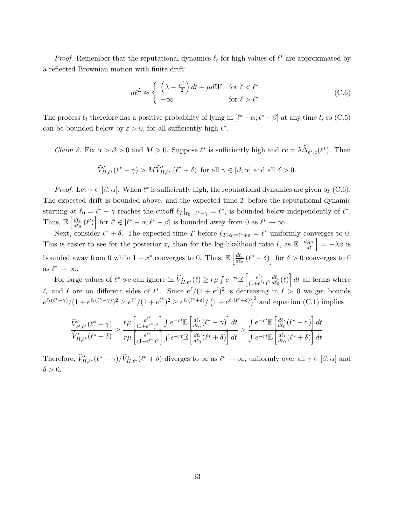*Proof.* Remember that the reputational dynamics  $\ell_t$  for high values of  $\ell^*$  are approximated by a reflected Brownian motion with finite drift:

$$
d\ell^L \approx \begin{cases} \left(\lambda - \frac{\mu^2}{2}\right)dt + \mu dW & \text{for } \ell < \ell^*\\ -\infty & \text{for } \ell > \ell^* \end{cases}
$$
 (C.6)

The process  $\ell_t$  therefore has a positive probability of lying in  $[\ell^* - \alpha; \ell^* - \beta]$  at any time t, so (C.5) can be bounded below by  $\varepsilon > 0$ , for all sufficiently high  $\ell^*$ .

*Claim 2.* Fix  $\alpha > \beta > 0$  and  $M > 0$ . Suppose  $\ell^*$  is sufficiently high and  $rc = \lambda \widehat{\Delta}_{\ell^*,c}(\ell^*)$ . Then

$$
\widehat{V}'_{H,\ell^*}(\ell^* - \gamma) > M\widehat{V}'_{H,\ell^*}(\ell^* + \delta) \text{ for all } \gamma \in [\beta; \alpha] \text{ and all } \delta > 0.
$$

*Proof.* Let  $\gamma \in [\beta; \alpha]$ . When  $\ell^*$  is sufficiently high, the reputational dynamics are given by (C.6). The expected drift is bounded above, and the expected time T before the reputational dynamic starting at  $\ell_0 = \ell^* - \gamma$  reaches the cutoff  $\ell_T |_{\ell_0 = \ell^* - \gamma} = \ell^*$ , is bounded below independently of  $\ell^*$ . Thus,  $\mathbb{E} \left| \frac{d\ell_t}{d\ell_s} \right|$  $\frac{d\ell_t}{d\ell_0}(\ell')$  for  $\ell' \in [\ell^* - \alpha; \ell^* - \beta]$  is bounded away from 0 as  $\ell^* \to \infty$ .

Next, consider  $\ell^* + \delta$ . The expected time T before  $\ell_T |_{\ell_0 = \ell^* + \delta} = \ell^*$  uniformly converges to 0. Next, consider  $\ell + \delta$ . The expected time *I* before  $\ell_T |_{\ell_0 = \ell^* + \delta} = \ell$  uniformly converges to 0.<br>This is easier to see for the posterior  $x_t$  than for the log-likelihood-ratio  $\ell$ , as  $\mathbb{E} \left[ \frac{d_H x}{dt} \right] = -\lambda x$  i bounded away from 0 while  $1 - x^*$  converges to 0. Thus,  $\mathbb{E} \left| \frac{d\ell_t}{d\phi} \right|$ h i  $\frac{d\ell_t}{d\ell_0}$   $(\ell^* + \delta)$  for  $\delta > 0$  converges to 0 as  $\ell^* \to \infty$ . i

For large values of  $\ell^*$  we can ignore in  $\widehat{V}'_{H,\ell^*}(\ell) \geq r\mu \int e^{-rt} \mathbb{E}$  $\int e^{\ell_t}$  $\frac{e^{\ell_t}}{(1+e^{\ell_t})^2} \frac{d\ell_t}{d\ell_0}$  $\frac{d\ell_t}{d\ell_0}(\ell)$ dt all terms where  $\ell_t$  and  $\ell$  are on different sides of  $\ell^*$ . Since  $e^{\ell}/(1 + e^{\ell})^2$  is decreasing in  $\ell > 0$  we get bounds  $e^{\ell_t(\ell^*-\gamma)}/(1+e^{\ell_t(\ell^*-\gamma)})^2 \geq e^{\ell^*}/(1+e^{\ell^*})^2 \geq e^{\ell_t(\ell^*+\delta)}/(1+e^{\ell^*})^2$  $1 + e^{\ell_t(\ell^* + \delta)}$  and equation (C.1) implies

$$
\frac{\widehat{V}'_{H,\ell^*}(\ell^*-\gamma)}{\widehat{V}'_{H,\ell^*}(\ell^*+\delta)}\geq \frac{r\mu\left[\frac{e^{\ell^*}}{(1+e^{\ell^*})^2}\right]\int e^{-rt}\mathbb{E}\left[\frac{d\ell_t}{d\ell_0}(\ell^*-\gamma)\right]dt}{r\mu\left[\frac{e^{\ell^*}}{(1+e^{\ell^*})^2}\right]\int e^{-rt}\mathbb{E}\left[\frac{d\ell_t}{d\ell_0}(\ell^*+\delta)\right]dt}\geq \frac{\int e^{-rt}\mathbb{E}\left[\frac{d\ell_t}{d\ell_0}(\ell^*-\gamma)\right]dt}{\int e^{-rt}\mathbb{E}\left[\frac{d\ell_t}{d\ell_0}(\ell^*+\delta)\right]dt}
$$

Therefore,  $\widehat{V}'_{H,\ell^*}(\ell^* - \gamma) / \widehat{V}'_{H,\ell^*}(\ell^* + \delta)$  diverges to  $\infty$  as  $\ell^* \to \infty$ , uniformly over all  $\gamma \in [\beta; \alpha]$  and  $\delta > 0$ .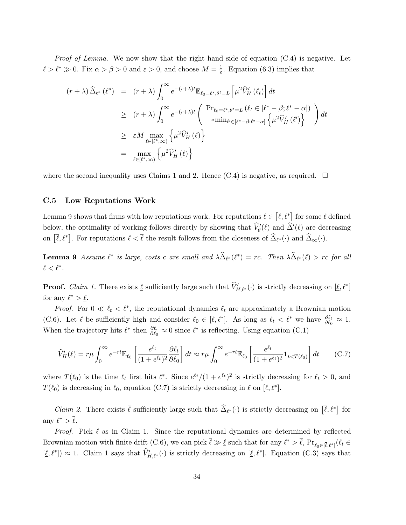*Proof of Lemma.* We now show that the right hand side of equation  $(C.4)$  is negative. Let  $\ell > \ell^* \gg 0$ . Fix  $\alpha > \beta > 0$  and  $\varepsilon > 0$ , and choose  $M = \frac{1}{\varepsilon}$  $\frac{1}{\varepsilon}$ . Equation (6.3) implies that

$$
(r + \lambda) \widehat{\Delta}_{\ell^*} (\ell^*) = (r + \lambda) \int_0^\infty e^{-(r+\lambda)t} \mathbb{E}_{\ell_0 = \ell^*, \theta^t = L} \left[ \mu^2 \widehat{V}'_H (\ell_t) \right] dt
$$
  
\n
$$
\geq (r + \lambda) \int_0^\infty e^{-(r+\lambda)t} \begin{pmatrix} Pr_{\ell_0 = \ell^*, \theta^t = L} (\ell_t \in [\ell^* - \beta; \ell^* - \alpha]) \\ *min_{\ell' \in [\ell^* - \beta; \ell^* - \alpha]} \left\{ \mu^2 \widehat{V}'_H (\ell') \right\} \end{pmatrix} dt
$$
  
\n
$$
\geq \epsilon M \max_{\ell \in [\ell^*, \infty)} \left\{ \mu^2 \widehat{V}'_H (\ell) \right\}
$$
  
\n
$$
= \max_{\ell \in [\ell^*, \infty)} \left\{ \mu^2 \widehat{V}'_H (\ell) \right\}
$$

where the second inequality uses Claims 1 and 2. Hence  $(C.4)$  is negative, as required.  $\square$ 

#### C.5 Low Reputations Work

Lemma 9 shows that firms with low reputations work. For reputations  $\ell \in$  $\left[\overline{\ell},\ell^*\right]$ for some  $\overline{\ell}$  defined below, the optimality of working follows directly by showing that  $\hat{V}'_0(\ell)$  and  $\hat{\Delta}'(\ell)$  are decreasing on  $[\bar{\ell}, \ell^*]$ . For reputations  $\ell < \bar{\ell}$  the result follows from the closeness of  $\hat{\Delta}_{\ell^*}(\cdot)$  and  $\hat{\Delta}_{\infty}(\cdot)$ .

**Lemma 9** Assume  $\ell^*$  is large, costs c are small and  $\lambda \widehat{\Delta}_{\ell^*}(\ell^*) = rc$ . Then  $\lambda \widehat{\Delta}_{\ell^*}(\ell) > rc$  for all  $\ell < \ell^*$ .

**Proof.** Claim 1. There exists  $\underline{\ell}$  sufficiently large such that  $\widehat{V}'_{H,\ell^*}(\cdot)$  is strictly decreasing on  $[\underline{\ell}, \ell^*]$ for any  $\ell^* > \underline{\ell}$ .

*Proof.* For  $0 \ll \ell_t < \ell^*$ , the reputational dynamics  $\ell_t$  are approximately a Brownian motion (C.6). Let  $\underline{\ell}$  be sufficiently high and consider  $\ell_0 \in [\underline{\ell}, \ell^*]$ . As long as  $\ell_t < \ell^*$  we have  $\frac{\partial \ell_t}{\partial \ell_0} \approx 1$ . When the trajectory hits  $\ell^*$  then  $\frac{\partial \ell_t}{\partial \ell_0} \approx 0$  since  $\ell^*$  is reflecting. Using equation (C.1)

$$
\widehat{V}'_H(\ell) = r\mu \int_0^\infty e^{-rt} \mathbb{E}_{\ell_0} \left[ \frac{e^{\ell_t}}{(1 + e^{\ell_t})^2} \frac{\partial \ell_t}{\partial \ell_0} \right] dt \approx r\mu \int_0^\infty e^{-rt} \mathbb{E}_{\ell_0} \left[ \frac{e^{\ell_t}}{(1 + e^{\ell_t})^2} \mathbf{1}_{t < T(\ell_0)} \right] dt \tag{C.7}
$$

where  $T(\ell_0)$  is the time  $\ell_t$  first hits  $\ell^*$ . Since  $e^{\ell_t}/(1 + e^{\ell_t})^2$  is strictly decreasing for  $\ell_t > 0$ , and  $T(\ell_0)$  is decreasing in  $\ell_0$ , equation (C.7) is strictly decreasing in  $\ell$  on  $[\underline{\ell}, \ell^*].$ 

*Claim 2.* There exists  $\bar{\ell}$  sufficiently large such that  $\hat{\Delta}_{\ell^*}(\cdot)$  is strictly decreasing on  $[\bar{\ell}, \ell^*]$ for any  $\ell^* > \overline{\ell}$ .

*Proof.* Pick  $\ell$  as in Claim 1. Since the reputational dynamics are determined by reflected Brownian motion with finite drift (C.6), we can pick  $\bar{\ell} \gg \ell$  such that for any  $\ell^* > \bar{\ell}$ ,  $Pr_{\ell_0 \in [\bar{\ell}, \ell^*]}(\ell_t \in$  $[\ell, \ell^*] \approx 1$ . Claim 1 says that  $\hat{V}'_{H,\ell^*}(\cdot)$  is strictly decreasing on  $[\ell, \ell^*]$ . Equation (C.3) says that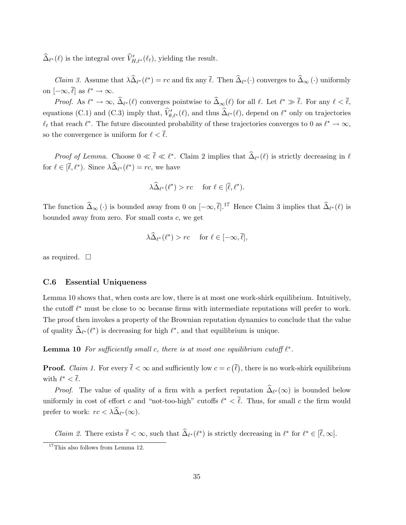$\widehat{\Delta}_{\ell^*}(\ell)$  is the integral over  $\widehat{V}'_{H,\ell^*}(\ell_t)$ , yielding the result.

*Claim 3.* Assume that  $\lambda \widehat{\Delta}_{\ell^*}(\ell^*) = rc$  and fix any  $\overline{\ell}$ . Then  $\widehat{\Delta}_{\ell^*}(\cdot)$  converges to  $\widehat{\Delta}_{\infty}(\cdot)$  uniformly on  $[-\infty, \overline{\ell}]$  as  $\ell^* \to \infty$ .

*Proof.* As  $\ell^* \to \infty$ ,  $\widehat{\Delta}_{\ell^*}(\ell)$  converges pointwise to  $\widehat{\Delta}_{\infty}(\ell)$  for all  $\ell$ . Let  $\ell^* \gg \overline{\ell}$ . For any  $\ell < \overline{\ell}$ , equations (C.1) and (C.3) imply that,  $\hat{V}'_{\theta,\ell^*}(\ell)$ , and thus  $\hat{\Delta}_{\ell^*}(\ell)$ , depend on  $\ell^*$  only on trajectories  $\ell_t$  that reach  $\ell^*$ . The future discounted probability of these trajectories converges to 0 as  $\ell^* \to \infty$ , so the convergence is uniform for  $\ell < \overline{\ell}$ .

*Proof of Lemma.* Choose  $0 \ll \bar{\ell} \ll \ell^*$ . Claim 2 implies that  $\hat{\Delta}_{\ell^*}(\ell)$  is strictly decreasing in  $\ell$ for  $\ell \in [\bar{\ell}, \ell^*)$ . Since  $\lambda \widehat{\Delta}_{\ell^*}(\ell^*) = rc$ , we have

$$
\lambda \widehat{\Delta}_{\ell^*}(\ell^*) > rc \quad \text{ for } \ell \in [\overline{\ell}, \ell^*).
$$

The function  $\widehat{\Delta}_{\infty} (\cdot)$  is bounded away from 0 on  $[-\infty, \overline{\ell}].^{17}$  Hence Claim 3 implies that  $\widehat{\Delta}_{\ell^*} (\ell)$  is bounded away from zero. For small costs  $c$ , we get

$$
\lambda \widehat{\Delta}_{\ell^*}(\ell^*) > rc \quad \text{ for } \ell \in [-\infty, \overline{\ell}],
$$

as required.  $\square$ 

#### C.6 Essential Uniqueness

Lemma 10 shows that, when costs are low, there is at most one work-shirk equilibrium. Intuitively, the cutoff  $\ell^*$  must be close to  $\infty$  because firms with intermediate reputations will prefer to work. The proof then invokes a property of the Brownian reputation dynamics to conclude that the value of quality  $\widehat{\Delta}_{\ell^*}(\ell^*)$  is decreasing for high  $\ell^*$ , and that equilibrium is unique.

**Lemma 10** For sufficiently small c, there is at most one equilibrium cutoff  $\ell^*$ .

**Proof.** Claim 1. For every  $\ell < \infty$  and sufficiently low  $c = c$ ¡  $\ell$ ¢ , there is no work-shirk equilibrium with  $\ell^* < \overline{\ell}$ .

*Proof.* The value of quality of a firm with a perfect reputation  $\hat{\Delta}_{\ell^*}(\infty)$  is bounded below uniformly in cost of effort c and "not-too-high" cutoffs  $\ell^* < \overline{\ell}$ . Thus, for small c the firm would prefer to work:  $rc < \lambda \widehat{\Delta}_{\ell^*}(\infty)$ .

*Claim 2.* There exists  $\bar{\ell} < \infty$ , such that  $\hat{\Delta}_{\ell^*}(\ell^*)$  is strictly decreasing in  $\ell^*$  for  $\ell^* \in [\bar{\ell}, \infty]$ .

 $17$ This also follows from Lemma 12.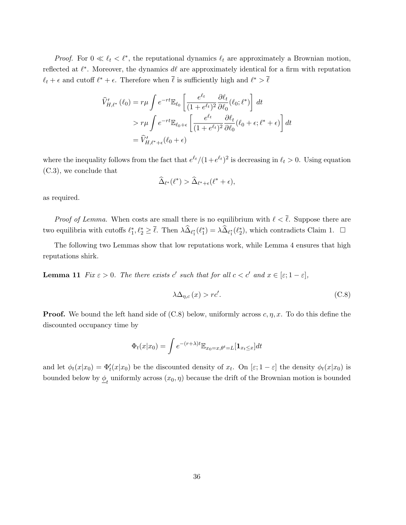*Proof.* For  $0 \ll \ell_t < \ell^*$ , the reputational dynamics  $\ell_t$  are approximately a Brownian motion, reflected at  $\ell^*$ . Moreover, the dynamics d $\ell$  are approximately identical for a firm with reputation  $\ell_t + \epsilon$  and cutoff  $\ell^* + \epsilon$ . Therefore when  $\bar{\ell}$  is sufficiently high and  $\ell^* > \bar{\ell}$ 

$$
\widehat{V}'_{H,\ell^*}(\ell_0) = r\mu \int e^{-rt} \mathbb{E}_{\ell_0} \left[ \frac{e^{\ell_t}}{(1 + e^{\ell_t})^2} \frac{\partial \ell_t}{\partial \ell_0}(\ell_0; \ell^*) \right] dt
$$
\n
$$
> r\mu \int e^{-rt} \mathbb{E}_{\ell_0 + \epsilon} \left[ \frac{e^{\ell_t}}{(1 + e^{\ell_t})^2} \frac{\partial \ell_t}{\partial \ell_0}(\ell_0 + \epsilon; \ell^* + \epsilon) \right] dt
$$
\n
$$
= \widehat{V}'_{H,\ell^* + \epsilon}(\ell_0 + \epsilon)
$$

where the inequality follows from the fact that  $e^{\ell t}/(1+e^{\ell t})^2$  is decreasing in  $\ell_t > 0$ . Using equation (C.3), we conclude that

$$
\widehat{\Delta}_{\ell^*}(\ell^*) > \widehat{\Delta}_{\ell^*+\epsilon}(\ell^*+\epsilon),
$$

as required.

*Proof of Lemma.* When costs are small there is no equilibrium with  $\ell < \overline{\ell}$ . Suppose there are two equilibria with cutoffs  $\ell_1^*, \ell_2^* \geq \overline{\ell}$ . Then  $\lambda \widehat{\Delta}_{\ell_1^*}(\ell_1^*) = \lambda \widehat{\Delta}_{\ell_1^*}(\ell_2^*)$ , which contradicts Claim 1.  $\Box$ 

The following two Lemmas show that low reputations work, while Lemma 4 ensures that high reputations shirk.

**Lemma 11** Fix  $\varepsilon > 0$ . The there exists c' such that for all  $c < c'$  and  $x \in [\varepsilon; 1 - \varepsilon]$ ,

$$
\lambda \Delta_{\eta,c}(x) > rc'. \tag{C.8}
$$

**Proof.** We bound the left hand side of  $(C.8)$  below, uniformly across  $c, \eta, x$ . To do this define the discounted occupancy time by

$$
\Phi_t(x|x_0) = \int e^{-(r+\lambda)t} \mathbb{E}_{x_0=x, \theta^t = L}[\mathbf{1}_{x_t \le x}] dt
$$

and let  $\phi_t(x|x_0) = \Phi'_t(x|x_0)$  be the discounted density of  $x_t$ . On  $[\varepsilon; 1-\varepsilon]$  the density  $\phi_t(x|x_0)$  is bounded below by  $\underline{\phi}_t$  uniformly across  $(x_0, \eta)$  because the drift of the Brownian motion is bounded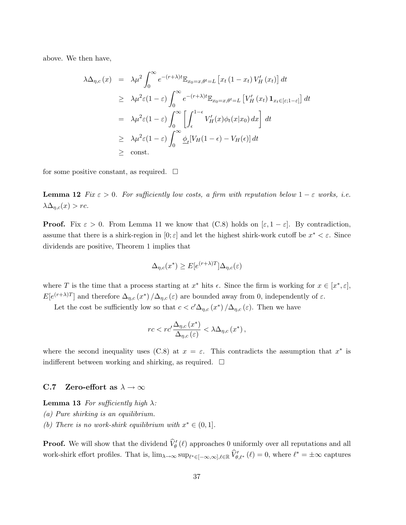above. We then have,

$$
\lambda \Delta_{\eta,c}(x) = \lambda \mu^2 \int_0^\infty e^{-(r+\lambda)t} \mathbb{E}_{x_0=x,\theta^t=L} \left[ x_t (1-x_t) V_H'(x_t) \right] dt
$$
  
\n
$$
\geq \lambda \mu^2 \varepsilon (1-\varepsilon) \int_0^\infty e^{-(r+\lambda)t} \mathbb{E}_{x_0=x,\theta^t=L} \left[ V_H'(x_t) \mathbf{1}_{x_t \in [\varepsilon;1-\varepsilon]} \right] dt
$$
  
\n
$$
= \lambda \mu^2 \varepsilon (1-\varepsilon) \int_0^\infty \left[ \int_\epsilon^{1-\epsilon} V_H'(x) \phi_t(x|x_0) dx \right] dt
$$
  
\n
$$
\geq \lambda \mu^2 \varepsilon (1-\varepsilon) \int_0^\infty \underline{\phi}_t [V_H(1-\epsilon) - V_H(\epsilon)] dt
$$
  
\n
$$
\geq \text{const.}
$$

for some positive constant, as required.  $\Box$ 

**Lemma 12** Fix  $\varepsilon > 0$ . For sufficiently low costs, a firm with reputation below  $1 - \varepsilon$  works, i.e.  $\lambda \Delta_{\eta,c}(x) > rc.$ 

**Proof.** Fix  $\varepsilon > 0$ . From Lemma 11 we know that (C.8) holds on  $[\varepsilon, 1 - \varepsilon]$ . By contradiction, assume that there is a shirk-region in  $[0; \varepsilon]$  and let the highest shirk-work cutoff be  $x^* < \varepsilon$ . Since dividends are positive, Theorem 1 implies that

$$
\Delta_{\eta,c}(x^*) \ge E[e^{(r+\lambda)T}]\Delta_{\eta,c}(\varepsilon)
$$

where T is the time that a process starting at  $x^*$  hits  $\epsilon$ . Since the firm is working for  $x \in [x^*, \epsilon]$ ,  $E[e^{(r+\lambda)T}]$  and therefore  $\Delta_{\eta,c}(x^*)/\Delta_{\eta,c}(\varepsilon)$  are bounded away from 0, independently of  $\varepsilon$ .

Let the cost be sufficiently low so that  $c < c' \Delta_{\eta,c}(x^*) / \Delta_{\eta,c}(\varepsilon)$ . Then we have

$$
rc < rc' \frac{\Delta_{\eta,c} (x^*)}{\Delta_{\eta,c} (\varepsilon)} < \lambda \Delta_{\eta,c} (x^*) ,
$$

where the second inequality uses (C.8) at  $x = \varepsilon$ . This contradicts the assumption that  $x^*$  is indifferent between working and shirking, as required.  $\Box$ 

#### C.7 Zero-effort as  $\lambda \to \infty$

**Lemma 13** For sufficiently high  $\lambda$ :

(a) Pure shirking is an equilibrium.

(b) There is no work-shirk equilibrium with  $x^* \in (0,1]$ .

**Proof.** We will show that the dividend  $\hat{V}'_{\theta}(\ell)$  approaches 0 uniformly over all reputations and all work-shirk effort profiles. That is,  $\lim_{\lambda \to \infty} \sup_{\ell^* \in [-\infty,\infty],\ell \in \mathbb{R}} \widehat{V}'_{\theta,\ell^*} (\ell) = 0$ , where  $\ell^* = \pm \infty$  captures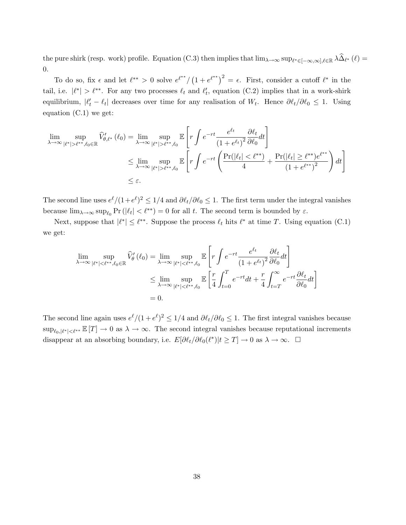the pure shirk (resp. work) profile. Equation (C.3) then implies that  $\lim_{\lambda\to\infty} \sup_{\ell^* \in [-\infty,\infty],\ell \in \mathbb{R}} \lambda \widehat{\Delta}_{\ell^*} (\ell) =$ 0.

To do so, fix  $\epsilon$  and let  $\ell^{**} > 0$  solve  $e^{\ell^{**}}$ / $($  $1 + e^{\ell^{**}}^2 = \epsilon$ . First, consider a cutoff  $\ell^*$  in the tail, i.e.  $|\ell^*| > \ell^{**}$ . For any two processes  $\ell_t$  and  $\ell'_t$ , equation (C.2) implies that in a work-shirk equilibrium,  $|\ell'_t - \ell_t|$  decreases over time for any realisation of W<sub>t</sub>. Hence  $\partial \ell_t / \partial \ell_0 \leq 1$ . Using equation (C.1) we get:

$$
\lim_{\lambda \to \infty} \sup_{|\ell^*| > \ell^{**}, \ell_0 \in \mathbb{R}} \widehat{V}'_{\theta, \ell^*} (\ell_0) = \lim_{\lambda \to \infty} \sup_{|\ell^*| > \ell^{**}, \ell_0} \mathbb{E}\left[r \int e^{-rt} \frac{e^{\ell_t}}{(1 + e^{\ell_t})^2} \frac{\partial \ell_t}{\partial \ell_0} dt\right]
$$
\n
$$
\leq \lim_{\lambda \to \infty} \sup_{|\ell^*| > \ell^{**}, \ell_0} \mathbb{E}\left[r \int e^{-rt} \left(\frac{\Pr(|\ell_t| < \ell^{**})}{4} + \frac{\Pr(|\ell_t| \geq \ell^{**})e^{\ell^{**}}}{(1 + e^{\ell^{**}})^2}\right) dt\right]
$$
\n
$$
\leq \varepsilon.
$$

The second line uses  $e^{\ell}/(1+e^{\ell})^2 \leq 1/4$  and  $\partial \ell_t/\partial \ell_0 \leq 1$ . The first term under the integral vanishes because  $\lim_{\lambda\to\infty} \sup_{\ell_0} \Pr\left(|\ell_t|<\ell^{**}\right)=0$  for all t. The second term is bounded by  $\varepsilon$ .

Next, suppose that  $|\ell^*| \leq \ell^{**}$ . Suppose the process  $\ell_t$  hits  $\ell^*$  at time T. Using equation (C.1) we get:

$$
\lim_{\lambda \to \infty} \sup_{|\ell^*| < \ell^{**}, \ell_0 \in \mathbb{R}} \widehat{V}'_{{\theta}}(\ell_0) = \lim_{\lambda \to \infty} \sup_{|\ell^*| < \ell^{**}, \ell_0} \mathbb{E}\left[r \int e^{-rt} \frac{e^{\ell_t}}{(1 + e^{\ell_t})^2} \frac{\partial \ell_t}{\partial \ell_0} dt\right]
$$
\n
$$
\leq \lim_{\lambda \to \infty} \sup_{|\ell^*| < \ell^{**}, \ell_0} \mathbb{E}\left[\frac{r}{4} \int_{t=0}^T e^{-rt} dt + \frac{r}{4} \int_{t=T}^\infty e^{-rt} \frac{\partial \ell_t}{\partial \ell_0} dt\right]
$$
\n
$$
= 0.
$$

The second line again uses  $e^{\ell}/(1 + e^{\ell})^2 \leq 1/4$  and  $\partial \ell_t/\partial \ell_0 \leq 1$ . The first integral vanishes because  $\sup_{\ell_0,|\ell^*|<\ell^{**}}\mathbb{E}[T]\to 0$  as  $\lambda\to\infty$ . The second integral vanishes because reputational increments disappear at an absorbing boundary, i.e.  $E[\partial \ell_t / \partial \ell_0(\ell^*) | t \geq T] \to 0$  as  $\lambda \to \infty$ .  $\Box$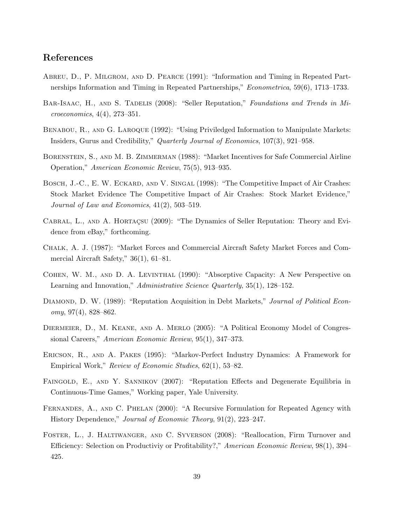## References

- Abreu, D., P. Milgrom, and D. Pearce (1991): "Information and Timing in Repeated Partnerships Information and Timing in Repeated Partnerships," Econometrica, 59(6), 1713–1733.
- BAR-ISAAC, H., AND S. TADELIS (2008): "Seller Reputation," Foundations and Trends in Microeconomics, 4(4), 273–351.
- BENABOU, R., AND G. LAROQUE (1992): "Using Priviledged Information to Manipulate Markets: Insiders, Gurus and Credibility," Quarterly Journal of Economics, 107(3), 921–958.
- BORENSTEIN, S., AND M. B. ZIMMERMAN (1988): "Market Incentives for Safe Commercial Airline Operation," American Economic Review, 75(5), 913–935.
- BOSCH, J.-C., E. W. ECKARD, AND V. SINGAL (1998): "The Competitive Impact of Air Crashes: Stock Market Evidence The Competitive Impact of Air Crashes: Stock Market Evidence," Journal of Law and Economics, 41(2), 503–519.
- CABRAL, L., AND A. HORTAC<sub>SU</sub> (2009): "The Dynamics of Seller Reputation: Theory and Evidence from eBay," forthcoming.
- Chalk, A. J. (1987): "Market Forces and Commercial Aircraft Safety Market Forces and Commercial Aircraft Safety," 36(1), 61–81.
- Cohen, W. M., and D. A. Levinthal (1990): "Absorptive Capacity: A New Perspective on Learning and Innovation," Administrative Science Quarterly, 35(1), 128–152.
- DIAMOND, D. W. (1989): "Reputation Acquisition in Debt Markets," Journal of Political Econ $omy, 97(4), 828–862.$
- Diermeier, D., M. Keane, and A. Merlo (2005): "A Political Economy Model of Congressional Careers," American Economic Review, 95(1), 347–373.
- Ericson, R., and A. Pakes (1995): "Markov-Perfect Industry Dynamics: A Framework for Empirical Work," Review of Economic Studies, 62(1), 53–82.
- FAINGOLD, E., AND Y. SANNIKOV (2007): "Reputation Effects and Degenerate Equilibria in Continuous-Time Games," Working paper, Yale University.
- FERNANDES, A., AND C. PHELAN (2000): "A Recursive Formulation for Repeated Agency with History Dependence," Journal of Economic Theory, 91(2), 223–247.
- Foster, L., J. Haltiwanger, and C. Syverson (2008): "Reallocation, Firm Turnover and Efficiency: Selection on Productiviy or Profitability?," American Economic Review, 98(1), 394– 425.